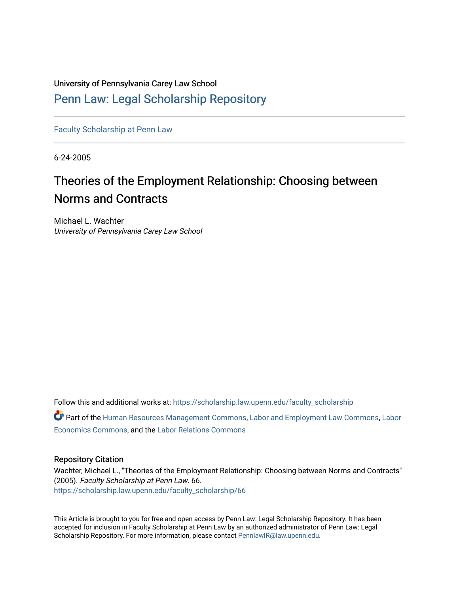# University of Pennsylvania Carey Law School

# [Penn Law: Legal Scholarship Repository](https://scholarship.law.upenn.edu/)

[Faculty Scholarship at Penn Law](https://scholarship.law.upenn.edu/faculty_scholarship)

6-24-2005

# Theories of the Employment Relationship: Choosing between Norms and Contracts

Michael L. Wachter University of Pennsylvania Carey Law School

Follow this and additional works at: [https://scholarship.law.upenn.edu/faculty\\_scholarship](https://scholarship.law.upenn.edu/faculty_scholarship?utm_source=scholarship.law.upenn.edu%2Ffaculty_scholarship%2F66&utm_medium=PDF&utm_campaign=PDFCoverPages) 

Part of the [Human Resources Management Commons,](http://network.bepress.com/hgg/discipline/633?utm_source=scholarship.law.upenn.edu%2Ffaculty_scholarship%2F66&utm_medium=PDF&utm_campaign=PDFCoverPages) [Labor and Employment Law Commons](http://network.bepress.com/hgg/discipline/909?utm_source=scholarship.law.upenn.edu%2Ffaculty_scholarship%2F66&utm_medium=PDF&utm_campaign=PDFCoverPages), [Labor](http://network.bepress.com/hgg/discipline/349?utm_source=scholarship.law.upenn.edu%2Ffaculty_scholarship%2F66&utm_medium=PDF&utm_campaign=PDFCoverPages) [Economics Commons,](http://network.bepress.com/hgg/discipline/349?utm_source=scholarship.law.upenn.edu%2Ffaculty_scholarship%2F66&utm_medium=PDF&utm_campaign=PDFCoverPages) and the [Labor Relations Commons](http://network.bepress.com/hgg/discipline/635?utm_source=scholarship.law.upenn.edu%2Ffaculty_scholarship%2F66&utm_medium=PDF&utm_campaign=PDFCoverPages) 

## Repository Citation

Wachter, Michael L., "Theories of the Employment Relationship: Choosing between Norms and Contracts" (2005). Faculty Scholarship at Penn Law. 66. [https://scholarship.law.upenn.edu/faculty\\_scholarship/66](https://scholarship.law.upenn.edu/faculty_scholarship/66?utm_source=scholarship.law.upenn.edu%2Ffaculty_scholarship%2F66&utm_medium=PDF&utm_campaign=PDFCoverPages) 

This Article is brought to you for free and open access by Penn Law: Legal Scholarship Repository. It has been accepted for inclusion in Faculty Scholarship at Penn Law by an authorized administrator of Penn Law: Legal Scholarship Repository. For more information, please contact [PennlawIR@law.upenn.edu.](mailto:PennlawIR@law.upenn.edu)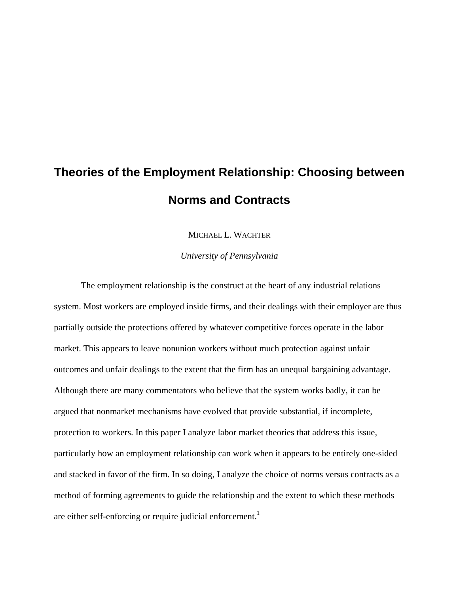# **Theories of the Employment Relationship: Choosing between Norms and Contracts**

MICHAEL L. WACHTER

*University of Pennsylvania* 

The employment relationship is the construct at the heart of any industrial relations system. Most workers are employed inside firms, and their dealings with their employer are thus partially outside the protections offered by whatever competitive forces operate in the labor market. This appears to leave nonunion workers without much protection against unfair outcomes and unfair dealings to the extent that the firm has an unequal bargaining advantage. Although there are many commentators who believe that the system works badly, it can be argued that nonmarket mechanisms have evolved that provide substantial, if incomplete, protection to workers. In this paper I analyze labor market theories that address this issue, particularly how an employment relationship can work when it appears to be entirely one-sided and stacked in favor of the firm. In so doing, I analyze the choice of norms versus contracts as a method of forming agreements to guide the relationship and the extent to which these methods are either self-enforcing or require judicial enforcement.<sup>1</sup>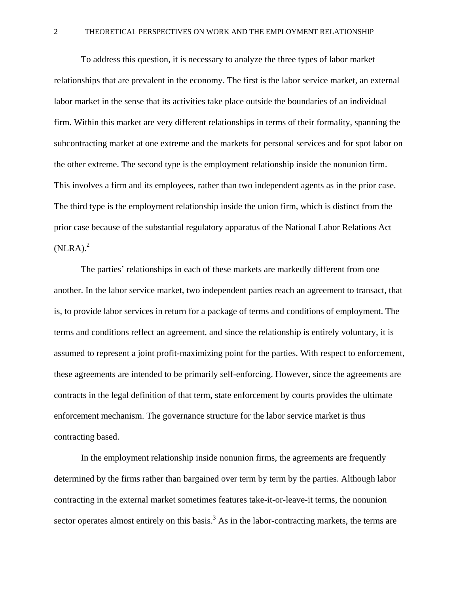To address this question, it is necessary to analyze the three types of labor market relationships that are prevalent in the economy. The first is the labor service market, an external labor market in the sense that its activities take place outside the boundaries of an individual firm. Within this market are very different relationships in terms of their formality, spanning the subcontracting market at one extreme and the markets for personal services and for spot labor on the other extreme. The second type is the employment relationship inside the nonunion firm. This involves a firm and its employees, rather than two independent agents as in the prior case. The third type is the employment relationship inside the union firm, which is distinct from the prior case because of the substantial regulatory apparatus of the National Labor Relations Act  $(NLRA).<sup>2</sup>$ 

The parties' relationships in each of these markets are markedly different from one another. In the labor service market, two independent parties reach an agreement to transact, that is, to provide labor services in return for a package of terms and conditions of employment. The terms and conditions reflect an agreement, and since the relationship is entirely voluntary, it is assumed to represent a joint profit-maximizing point for the parties. With respect to enforcement, these agreements are intended to be primarily self-enforcing. However, since the agreements are contracts in the legal definition of that term, state enforcement by courts provides the ultimate enforcement mechanism. The governance structure for the labor service market is thus contracting based.

In the employment relationship inside nonunion firms, the agreements are frequently determined by the firms rather than bargained over term by term by the parties. Although labor contracting in the external market sometimes features take-it-or-leave-it terms, the nonunion sector operates almost entirely on this basis.<sup>3</sup> As in the labor-contracting markets, the terms are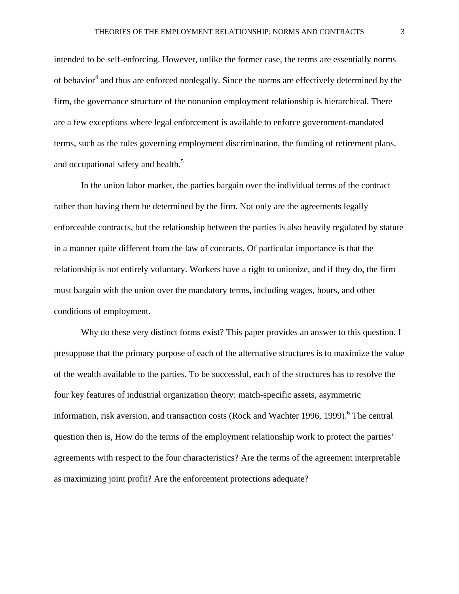intended to be self-enforcing. However, unlike the former case, the terms are essentially norms of behavior<sup>4</sup> and thus are enforced nonlegally. Since the norms are effectively determined by the firm, the governance structure of the nonunion employment relationship is hierarchical. There are a few exceptions where legal enforcement is available to enforce government-mandated terms, such as the rules governing employment discrimination, the funding of retirement plans, and occupational safety and health.<sup>5</sup>

In the union labor market, the parties bargain over the individual terms of the contract rather than having them be determined by the firm. Not only are the agreements legally enforceable contracts, but the relationship between the parties is also heavily regulated by statute in a manner quite different from the law of contracts. Of particular importance is that the relationship is not entirely voluntary. Workers have a right to unionize, and if they do, the firm must bargain with the union over the mandatory terms, including wages, hours, and other conditions of employment.

Why do these very distinct forms exist? This paper provides an answer to this question. I presuppose that the primary purpose of each of the alternative structures is to maximize the value of the wealth available to the parties. To be successful, each of the structures has to resolve the four key features of industrial organization theory: match-specific assets, asymmetric information, risk aversion, and transaction costs (Rock and Wachter 1996, 1999). <sup>6</sup> The central question then is, How do the terms of the employment relationship work to protect the parties' agreements with respect to the four characteristics? Are the terms of the agreement interpretable as maximizing joint profit? Are the enforcement protections adequate?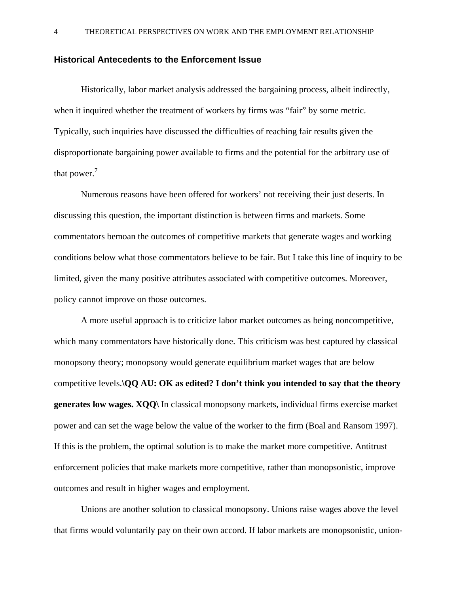## **Historical Antecedents to the Enforcement Issue**

Historically, labor market analysis addressed the bargaining process, albeit indirectly, when it inquired whether the treatment of workers by firms was "fair" by some metric. Typically, such inquiries have discussed the difficulties of reaching fair results given the disproportionate bargaining power available to firms and the potential for the arbitrary use of that power. $<sup>7</sup>$ </sup>

Numerous reasons have been offered for workers' not receiving their just deserts. In discussing this question, the important distinction is between firms and markets. Some commentators bemoan the outcomes of competitive markets that generate wages and working conditions below what those commentators believe to be fair. But I take this line of inquiry to be limited, given the many positive attributes associated with competitive outcomes. Moreover, policy cannot improve on those outcomes.

A more useful approach is to criticize labor market outcomes as being noncompetitive, which many commentators have historically done. This criticism was best captured by classical monopsony theory; monopsony would generate equilibrium market wages that are below competitive levels.**\QQ AU: OK as edited? I don't think you intended to say that the theory generates low wages. XQQ\** In classical monopsony markets, individual firms exercise market power and can set the wage below the value of the worker to the firm (Boal and Ransom 1997). If this is the problem, the optimal solution is to make the market more competitive. Antitrust enforcement policies that make markets more competitive, rather than monopsonistic, improve outcomes and result in higher wages and employment.

Unions are another solution to classical monopsony. Unions raise wages above the level that firms would voluntarily pay on their own accord. If labor markets are monopsonistic, union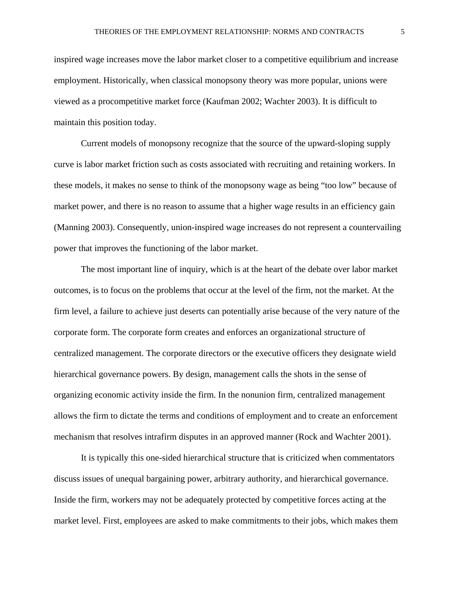inspired wage increases move the labor market closer to a competitive equilibrium and increase employment. Historically, when classical monopsony theory was more popular, unions were viewed as a procompetitive market force (Kaufman 2002; Wachter 2003). It is difficult to maintain this position today.

Current models of monopsony recognize that the source of the upward-sloping supply curve is labor market friction such as costs associated with recruiting and retaining workers. In these models, it makes no sense to think of the monopsony wage as being "too low" because of market power, and there is no reason to assume that a higher wage results in an efficiency gain (Manning 2003). Consequently, union-inspired wage increases do not represent a countervailing power that improves the functioning of the labor market.

The most important line of inquiry, which is at the heart of the debate over labor market outcomes, is to focus on the problems that occur at the level of the firm, not the market. At the firm level, a failure to achieve just deserts can potentially arise because of the very nature of the corporate form. The corporate form creates and enforces an organizational structure of centralized management. The corporate directors or the executive officers they designate wield hierarchical governance powers. By design, management calls the shots in the sense of organizing economic activity inside the firm. In the nonunion firm, centralized management allows the firm to dictate the terms and conditions of employment and to create an enforcement mechanism that resolves intrafirm disputes in an approved manner (Rock and Wachter 2001).

It is typically this one-sided hierarchical structure that is criticized when commentators discuss issues of unequal bargaining power, arbitrary authority, and hierarchical governance. Inside the firm, workers may not be adequately protected by competitive forces acting at the market level. First, employees are asked to make commitments to their jobs, which makes them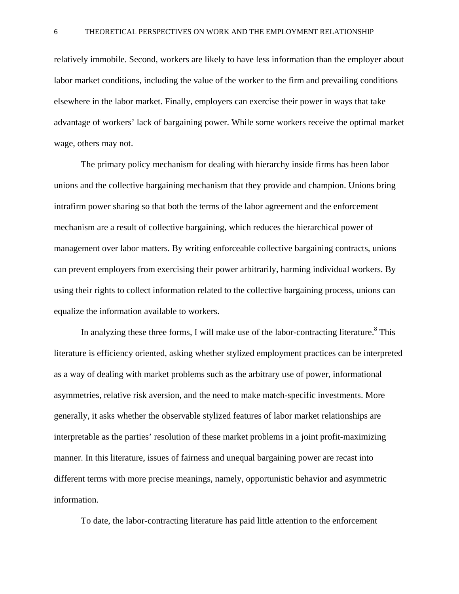relatively immobile. Second, workers are likely to have less information than the employer about labor market conditions, including the value of the worker to the firm and prevailing conditions elsewhere in the labor market. Finally, employers can exercise their power in ways that take advantage of workers' lack of bargaining power. While some workers receive the optimal market wage, others may not.

The primary policy mechanism for dealing with hierarchy inside firms has been labor unions and the collective bargaining mechanism that they provide and champion. Unions bring intrafirm power sharing so that both the terms of the labor agreement and the enforcement mechanism are a result of collective bargaining, which reduces the hierarchical power of management over labor matters. By writing enforceable collective bargaining contracts, unions can prevent employers from exercising their power arbitrarily, harming individual workers. By using their rights to collect information related to the collective bargaining process, unions can equalize the information available to workers.

In analyzing these three forms, I will make use of the labor-contracting literature.<sup>8</sup> This literature is efficiency oriented, asking whether stylized employment practices can be interpreted as a way of dealing with market problems such as the arbitrary use of power, informational asymmetries, relative risk aversion, and the need to make match-specific investments. More generally, it asks whether the observable stylized features of labor market relationships are interpretable as the parties' resolution of these market problems in a joint profit-maximizing manner. In this literature, issues of fairness and unequal bargaining power are recast into different terms with more precise meanings, namely, opportunistic behavior and asymmetric information.

To date, the labor-contracting literature has paid little attention to the enforcement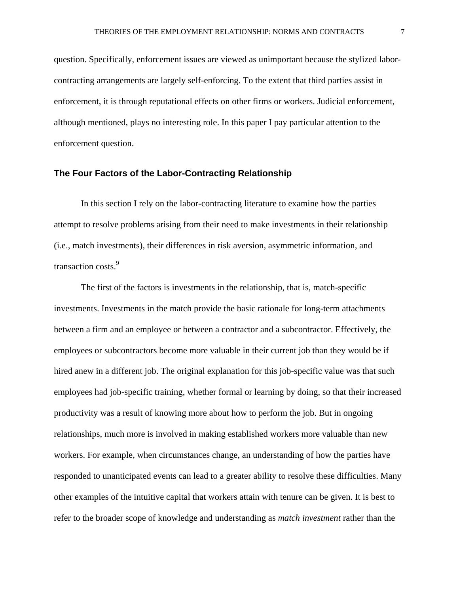question. Specifically, enforcement issues are viewed as unimportant because the stylized laborcontracting arrangements are largely self-enforcing. To the extent that third parties assist in enforcement, it is through reputational effects on other firms or workers. Judicial enforcement, although mentioned, plays no interesting role. In this paper I pay particular attention to the enforcement question.

# **The Four Factors of the Labor-Contracting Relationship**

In this section I rely on the labor-contracting literature to examine how the parties attempt to resolve problems arising from their need to make investments in their relationship (i.e., match investments), their differences in risk aversion, asymmetric information, and transaction costs.<sup>9</sup>

The first of the factors is investments in the relationship, that is, match-specific investments. Investments in the match provide the basic rationale for long-term attachments between a firm and an employee or between a contractor and a subcontractor. Effectively, the employees or subcontractors become more valuable in their current job than they would be if hired anew in a different job. The original explanation for this job-specific value was that such employees had job-specific training, whether formal or learning by doing, so that their increased productivity was a result of knowing more about how to perform the job. But in ongoing relationships, much more is involved in making established workers more valuable than new workers. For example, when circumstances change, an understanding of how the parties have responded to unanticipated events can lead to a greater ability to resolve these difficulties. Many other examples of the intuitive capital that workers attain with tenure can be given. It is best to refer to the broader scope of knowledge and understanding as *match investment* rather than the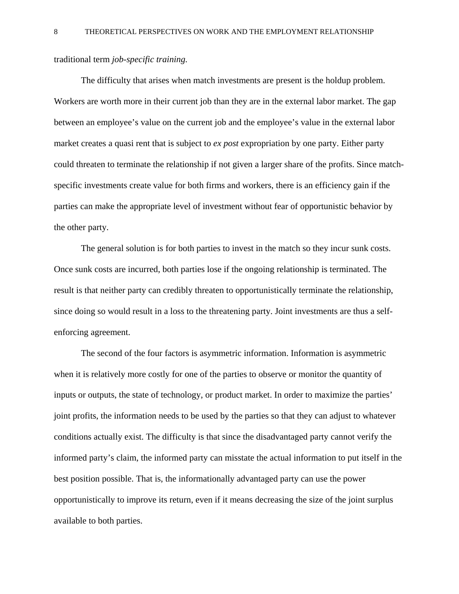traditional term *job-specific training.*

The difficulty that arises when match investments are present is the holdup problem. Workers are worth more in their current job than they are in the external labor market. The gap between an employee's value on the current job and the employee's value in the external labor market creates a quasi rent that is subject to *ex post* expropriation by one party. Either party could threaten to terminate the relationship if not given a larger share of the profits. Since matchspecific investments create value for both firms and workers, there is an efficiency gain if the parties can make the appropriate level of investment without fear of opportunistic behavior by the other party.

The general solution is for both parties to invest in the match so they incur sunk costs. Once sunk costs are incurred, both parties lose if the ongoing relationship is terminated. The result is that neither party can credibly threaten to opportunistically terminate the relationship, since doing so would result in a loss to the threatening party. Joint investments are thus a selfenforcing agreement.

The second of the four factors is asymmetric information. Information is asymmetric when it is relatively more costly for one of the parties to observe or monitor the quantity of inputs or outputs, the state of technology, or product market. In order to maximize the parties' joint profits, the information needs to be used by the parties so that they can adjust to whatever conditions actually exist. The difficulty is that since the disadvantaged party cannot verify the informed party's claim, the informed party can misstate the actual information to put itself in the best position possible. That is, the informationally advantaged party can use the power opportunistically to improve its return, even if it means decreasing the size of the joint surplus available to both parties.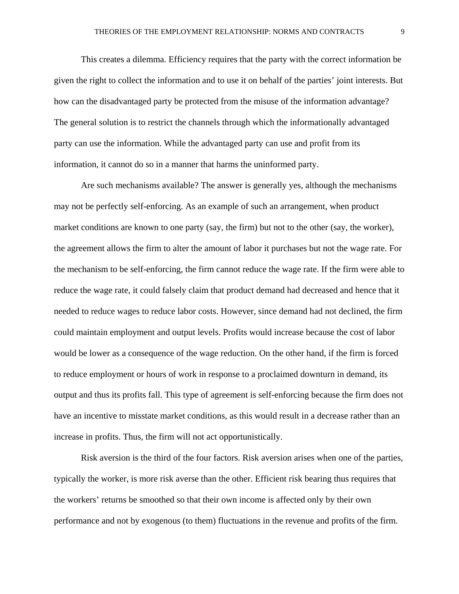This creates a dilemma. Efficiency requires that the party with the correct information be given the right to collect the information and to use it on behalf of the parties' joint interests. But how can the disadvantaged party be protected from the misuse of the information advantage? The general solution is to restrict the channels through which the informationally advantaged party can use the information. While the advantaged party can use and profit from its information, it cannot do so in a manner that harms the uninformed party.

Are such mechanisms available? The answer is generally yes, although the mechanisms may not be perfectly self-enforcing. As an example of such an arrangement, when product market conditions are known to one party (say, the firm) but not to the other (say, the worker), the agreement allows the firm to alter the amount of labor it purchases but not the wage rate. For the mechanism to be self-enforcing, the firm cannot reduce the wage rate. If the firm were able to reduce the wage rate, it could falsely claim that product demand had decreased and hence that it needed to reduce wages to reduce labor costs. However, since demand had not declined, the firm could maintain employment and output levels. Profits would increase because the cost of labor would be lower as a consequence of the wage reduction. On the other hand, if the firm is forced to reduce employment or hours of work in response to a proclaimed downturn in demand, its output and thus its profits fall. This type of agreement is self-enforcing because the firm does not have an incentive to misstate market conditions, as this would result in a decrease rather than an increase in profits. Thus, the firm will not act opportunistically.

Risk aversion is the third of the four factors. Risk aversion arises when one of the parties, typically the worker, is more risk averse than the other. Efficient risk bearing thus requires that the workers' returns be smoothed so that their own income is affected only by their own performance and not by exogenous (to them) fluctuations in the revenue and profits of the firm.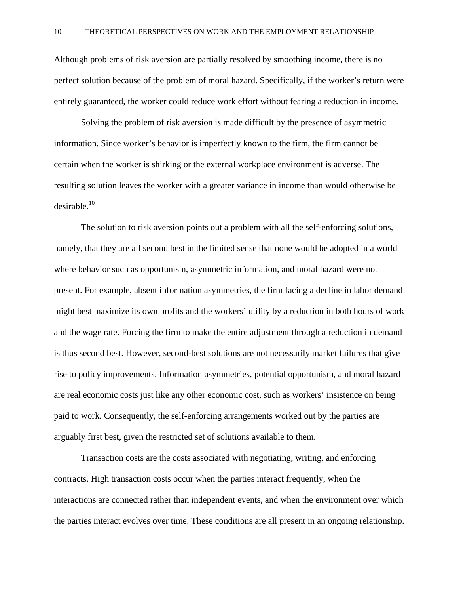Although problems of risk aversion are partially resolved by smoothing income, there is no perfect solution because of the problem of moral hazard. Specifically, if the worker's return were entirely guaranteed, the worker could reduce work effort without fearing a reduction in income.

Solving the problem of risk aversion is made difficult by the presence of asymmetric information. Since worker's behavior is imperfectly known to the firm, the firm cannot be certain when the worker is shirking or the external workplace environment is adverse. The resulting solution leaves the worker with a greater variance in income than would otherwise be  $desirable.<sup>10</sup>$ 

The solution to risk aversion points out a problem with all the self-enforcing solutions, namely, that they are all second best in the limited sense that none would be adopted in a world where behavior such as opportunism, asymmetric information, and moral hazard were not present. For example, absent information asymmetries, the firm facing a decline in labor demand might best maximize its own profits and the workers' utility by a reduction in both hours of work and the wage rate. Forcing the firm to make the entire adjustment through a reduction in demand is thus second best. However, second-best solutions are not necessarily market failures that give rise to policy improvements. Information asymmetries, potential opportunism, and moral hazard are real economic costs just like any other economic cost, such as workers' insistence on being paid to work. Consequently, the self-enforcing arrangements worked out by the parties are arguably first best, given the restricted set of solutions available to them.

Transaction costs are the costs associated with negotiating, writing, and enforcing contracts. High transaction costs occur when the parties interact frequently, when the interactions are connected rather than independent events, and when the environment over which the parties interact evolves over time. These conditions are all present in an ongoing relationship.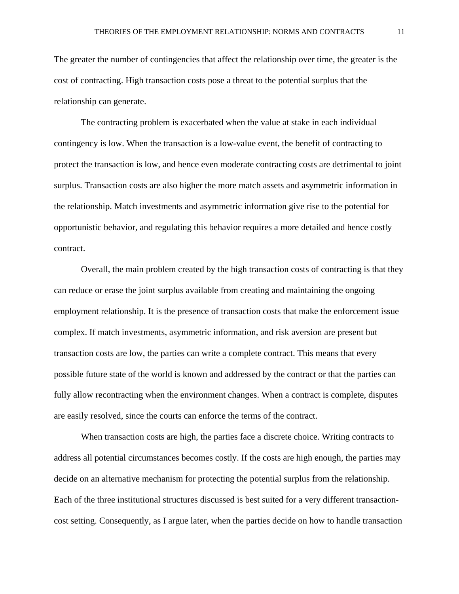The greater the number of contingencies that affect the relationship over time, the greater is the cost of contracting. High transaction costs pose a threat to the potential surplus that the relationship can generate.

The contracting problem is exacerbated when the value at stake in each individual contingency is low. When the transaction is a low-value event, the benefit of contracting to protect the transaction is low, and hence even moderate contracting costs are detrimental to joint surplus. Transaction costs are also higher the more match assets and asymmetric information in the relationship. Match investments and asymmetric information give rise to the potential for opportunistic behavior, and regulating this behavior requires a more detailed and hence costly contract.

Overall, the main problem created by the high transaction costs of contracting is that they can reduce or erase the joint surplus available from creating and maintaining the ongoing employment relationship. It is the presence of transaction costs that make the enforcement issue complex. If match investments, asymmetric information, and risk aversion are present but transaction costs are low, the parties can write a complete contract. This means that every possible future state of the world is known and addressed by the contract or that the parties can fully allow recontracting when the environment changes. When a contract is complete, disputes are easily resolved, since the courts can enforce the terms of the contract.

When transaction costs are high, the parties face a discrete choice. Writing contracts to address all potential circumstances becomes costly. If the costs are high enough, the parties may decide on an alternative mechanism for protecting the potential surplus from the relationship. Each of the three institutional structures discussed is best suited for a very different transactioncost setting. Consequently, as I argue later, when the parties decide on how to handle transaction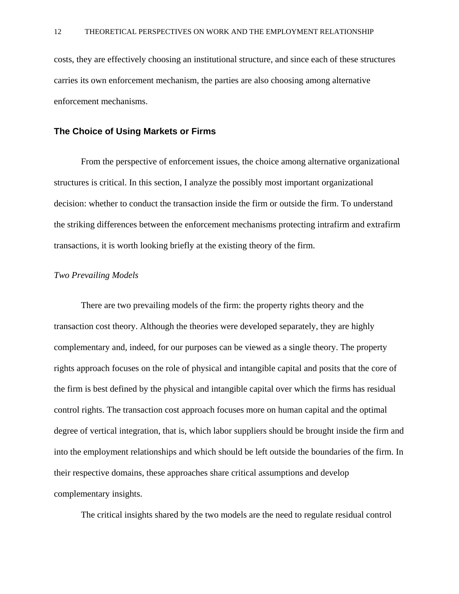costs, they are effectively choosing an institutional structure, and since each of these structures carries its own enforcement mechanism, the parties are also choosing among alternative enforcement mechanisms.

#### **The Choice of Using Markets or Firms**

From the perspective of enforcement issues, the choice among alternative organizational structures is critical. In this section, I analyze the possibly most important organizational decision: whether to conduct the transaction inside the firm or outside the firm. To understand the striking differences between the enforcement mechanisms protecting intrafirm and extrafirm transactions, it is worth looking briefly at the existing theory of the firm.

# *Two Prevailing Models*

There are two prevailing models of the firm: the property rights theory and the transaction cost theory. Although the theories were developed separately, they are highly complementary and, indeed, for our purposes can be viewed as a single theory. The property rights approach focuses on the role of physical and intangible capital and posits that the core of the firm is best defined by the physical and intangible capital over which the firms has residual control rights. The transaction cost approach focuses more on human capital and the optimal degree of vertical integration, that is, which labor suppliers should be brought inside the firm and into the employment relationships and which should be left outside the boundaries of the firm. In their respective domains, these approaches share critical assumptions and develop complementary insights.

The critical insights shared by the two models are the need to regulate residual control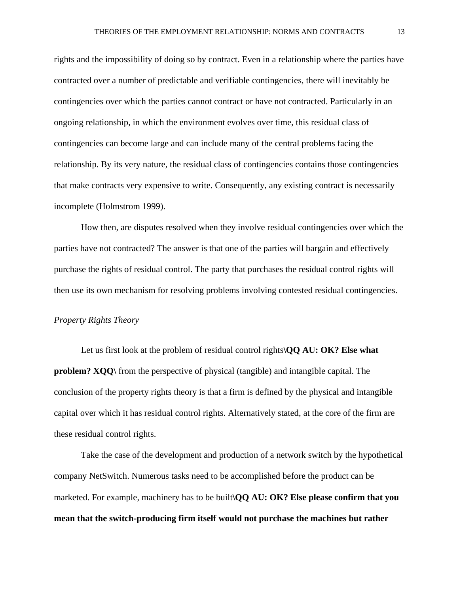rights and the impossibility of doing so by contract. Even in a relationship where the parties have contracted over a number of predictable and verifiable contingencies, there will inevitably be contingencies over which the parties cannot contract or have not contracted. Particularly in an ongoing relationship, in which the environment evolves over time, this residual class of contingencies can become large and can include many of the central problems facing the relationship. By its very nature, the residual class of contingencies contains those contingencies that make contracts very expensive to write. Consequently, any existing contract is necessarily incomplete (Holmstrom 1999).

How then, are disputes resolved when they involve residual contingencies over which the parties have not contracted? The answer is that one of the parties will bargain and effectively purchase the rights of residual control. The party that purchases the residual control rights will then use its own mechanism for resolving problems involving contested residual contingencies.

## *Property Rights Theory*

Let us first look at the problem of residual control rights**\QQ AU: OK? Else what problem?** XQQ\ from the perspective of physical (tangible) and intangible capital. The conclusion of the property rights theory is that a firm is defined by the physical and intangible capital over which it has residual control rights. Alternatively stated, at the core of the firm are these residual control rights.

Take the case of the development and production of a network switch by the hypothetical company NetSwitch. Numerous tasks need to be accomplished before the product can be marketed. For example, machinery has to be built**\QQ AU: OK? Else please confirm that you mean that the switch-producing firm itself would not purchase the machines but rather**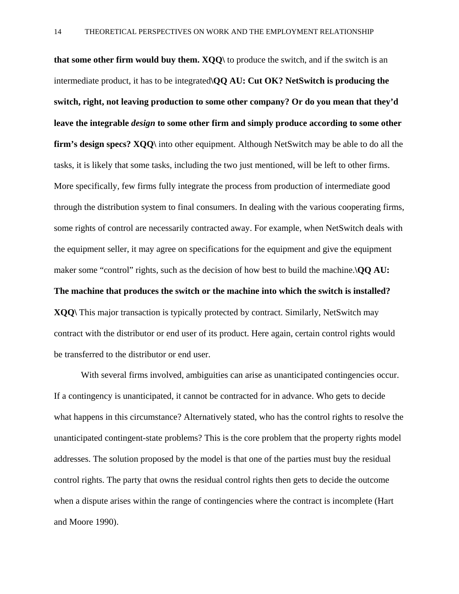**that some other firm would buy them. XQQ**\ to produce the switch, and if the switch is an intermediate product, it has to be integrated**\QQ AU: Cut OK? NetSwitch is producing the switch, right, not leaving production to some other company? Or do you mean that they'd leave the integrable** *design* **to some other firm and simply produce according to some other firm's design specs? XQQ** into other equipment. Although NetSwitch may be able to do all the tasks, it is likely that some tasks, including the two just mentioned, will be left to other firms. More specifically, few firms fully integrate the process from production of intermediate good through the distribution system to final consumers. In dealing with the various cooperating firms, some rights of control are necessarily contracted away. For example, when NetSwitch deals with the equipment seller, it may agree on specifications for the equipment and give the equipment maker some "control" rights, such as the decision of how best to build the machine.**\QQ AU: The machine that produces the switch or the machine into which the switch is installed? XQQ\** This major transaction is typically protected by contract. Similarly, NetSwitch may contract with the distributor or end user of its product. Here again, certain control rights would be transferred to the distributor or end user.

With several firms involved, ambiguities can arise as unanticipated contingencies occur. If a contingency is unanticipated, it cannot be contracted for in advance. Who gets to decide what happens in this circumstance? Alternatively stated, who has the control rights to resolve the unanticipated contingent-state problems? This is the core problem that the property rights model addresses. The solution proposed by the model is that one of the parties must buy the residual control rights. The party that owns the residual control rights then gets to decide the outcome when a dispute arises within the range of contingencies where the contract is incomplete (Hart and Moore 1990).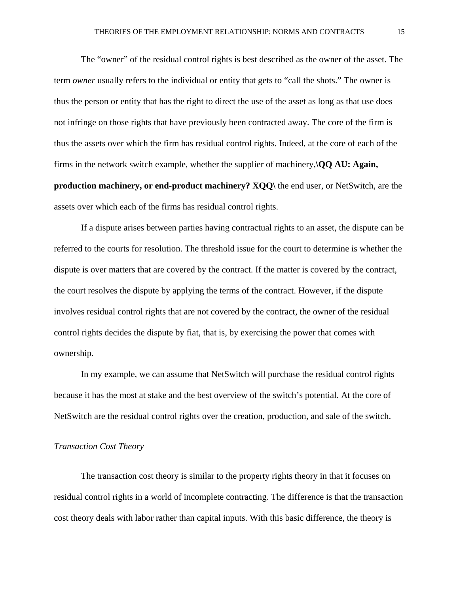The "owner" of the residual control rights is best described as the owner of the asset. The term *owner* usually refers to the individual or entity that gets to "call the shots." The owner is thus the person or entity that has the right to direct the use of the asset as long as that use does not infringe on those rights that have previously been contracted away. The core of the firm is thus the assets over which the firm has residual control rights. Indeed, at the core of each of the firms in the network switch example, whether the supplier of machinery,**\QQ AU: Again, production machinery, or end-product machinery? XQQ\** the end user, or NetSwitch, are the assets over which each of the firms has residual control rights.

If a dispute arises between parties having contractual rights to an asset, the dispute can be referred to the courts for resolution. The threshold issue for the court to determine is whether the dispute is over matters that are covered by the contract. If the matter is covered by the contract, the court resolves the dispute by applying the terms of the contract. However, if the dispute involves residual control rights that are not covered by the contract, the owner of the residual control rights decides the dispute by fiat, that is, by exercising the power that comes with ownership.

In my example, we can assume that NetSwitch will purchase the residual control rights because it has the most at stake and the best overview of the switch's potential. At the core of NetSwitch are the residual control rights over the creation, production, and sale of the switch.

# *Transaction Cost Theory*

The transaction cost theory is similar to the property rights theory in that it focuses on residual control rights in a world of incomplete contracting. The difference is that the transaction cost theory deals with labor rather than capital inputs. With this basic difference, the theory is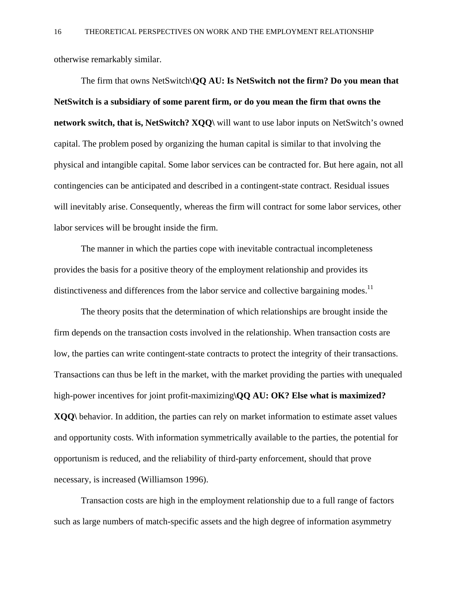otherwise remarkably similar.

The firm that owns NetSwitch**\QQ AU: Is NetSwitch not the firm? Do you mean that NetSwitch is a subsidiary of some parent firm, or do you mean the firm that owns the network switch, that is, NetSwitch? XQQ** will want to use labor inputs on NetSwitch's owned capital. The problem posed by organizing the human capital is similar to that involving the physical and intangible capital. Some labor services can be contracted for. But here again, not all contingencies can be anticipated and described in a contingent-state contract. Residual issues will inevitably arise. Consequently, whereas the firm will contract for some labor services, other labor services will be brought inside the firm.

The manner in which the parties cope with inevitable contractual incompleteness provides the basis for a positive theory of the employment relationship and provides its distinctiveness and differences from the labor service and collective bargaining modes.<sup>11</sup>

The theory posits that the determination of which relationships are brought inside the firm depends on the transaction costs involved in the relationship. When transaction costs are low, the parties can write contingent-state contracts to protect the integrity of their transactions. Transactions can thus be left in the market, with the market providing the parties with unequaled high-power incentives for joint profit-maximizing**\QQ AU: OK? Else what is maximized? XQQ\** behavior. In addition, the parties can rely on market information to estimate asset values and opportunity costs. With information symmetrically available to the parties, the potential for opportunism is reduced, and the reliability of third-party enforcement, should that prove necessary, is increased (Williamson 1996).

Transaction costs are high in the employment relationship due to a full range of factors such as large numbers of match-specific assets and the high degree of information asymmetry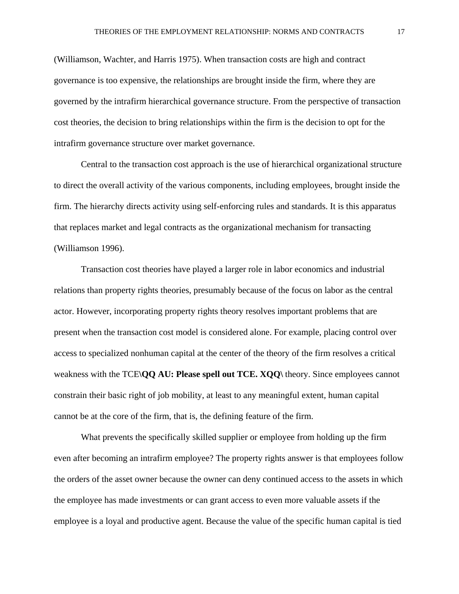(Williamson, Wachter, and Harris 1975). When transaction costs are high and contract governance is too expensive, the relationships are brought inside the firm, where they are governed by the intrafirm hierarchical governance structure. From the perspective of transaction cost theories, the decision to bring relationships within the firm is the decision to opt for the intrafirm governance structure over market governance.

Central to the transaction cost approach is the use of hierarchical organizational structure to direct the overall activity of the various components, including employees, brought inside the firm. The hierarchy directs activity using self-enforcing rules and standards. It is this apparatus that replaces market and legal contracts as the organizational mechanism for transacting (Williamson 1996).

Transaction cost theories have played a larger role in labor economics and industrial relations than property rights theories, presumably because of the focus on labor as the central actor. However, incorporating property rights theory resolves important problems that are present when the transaction cost model is considered alone. For example, placing control over access to specialized nonhuman capital at the center of the theory of the firm resolves a critical weakness with the TCE**\QQ AU: Please spell out TCE. XQQ**\ theory. Since employees cannot constrain their basic right of job mobility, at least to any meaningful extent, human capital cannot be at the core of the firm, that is, the defining feature of the firm.

What prevents the specifically skilled supplier or employee from holding up the firm even after becoming an intrafirm employee? The property rights answer is that employees follow the orders of the asset owner because the owner can deny continued access to the assets in which the employee has made investments or can grant access to even more valuable assets if the employee is a loyal and productive agent. Because the value of the specific human capital is tied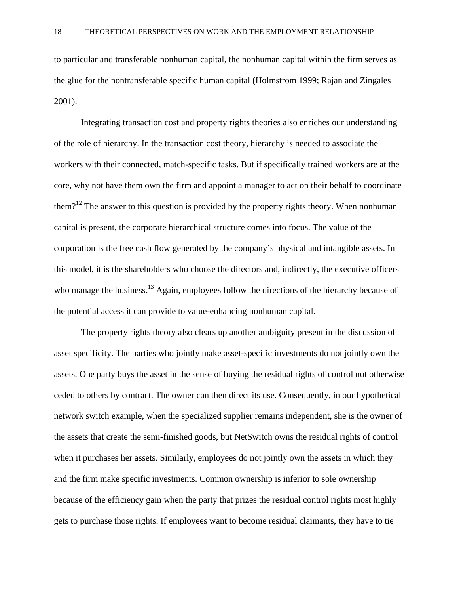to particular and transferable nonhuman capital, the nonhuman capital within the firm serves as the glue for the nontransferable specific human capital (Holmstrom 1999; Rajan and Zingales 2001).

Integrating transaction cost and property rights theories also enriches our understanding of the role of hierarchy. In the transaction cost theory, hierarchy is needed to associate the workers with their connected, match-specific tasks. But if specifically trained workers are at the core, why not have them own the firm and appoint a manager to act on their behalf to coordinate them?<sup>12</sup> The answer to this question is provided by the property rights theory. When nonhuman capital is present, the corporate hierarchical structure comes into focus. The value of the corporation is the free cash flow generated by the company's physical and intangible assets. In this model, it is the shareholders who choose the directors and, indirectly, the executive officers who manage the business.<sup>13</sup> Again, employees follow the directions of the hierarchy because of the potential access it can provide to value-enhancing nonhuman capital.

The property rights theory also clears up another ambiguity present in the discussion of asset specificity. The parties who jointly make asset-specific investments do not jointly own the assets. One party buys the asset in the sense of buying the residual rights of control not otherwise ceded to others by contract. The owner can then direct its use. Consequently, in our hypothetical network switch example, when the specialized supplier remains independent, she is the owner of the assets that create the semi-finished goods, but NetSwitch owns the residual rights of control when it purchases her assets. Similarly, employees do not jointly own the assets in which they and the firm make specific investments. Common ownership is inferior to sole ownership because of the efficiency gain when the party that prizes the residual control rights most highly gets to purchase those rights. If employees want to become residual claimants, they have to tie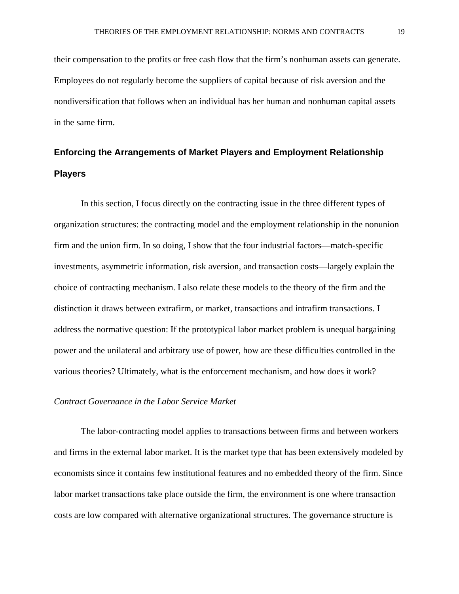their compensation to the profits or free cash flow that the firm's nonhuman assets can generate. Employees do not regularly become the suppliers of capital because of risk aversion and the nondiversification that follows when an individual has her human and nonhuman capital assets in the same firm.

# **Enforcing the Arrangements of Market Players and Employment Relationship Players**

In this section, I focus directly on the contracting issue in the three different types of organization structures: the contracting model and the employment relationship in the nonunion firm and the union firm. In so doing, I show that the four industrial factors—match-specific investments, asymmetric information, risk aversion, and transaction costs—largely explain the choice of contracting mechanism. I also relate these models to the theory of the firm and the distinction it draws between extrafirm, or market, transactions and intrafirm transactions. I address the normative question: If the prototypical labor market problem is unequal bargaining power and the unilateral and arbitrary use of power, how are these difficulties controlled in the various theories? Ultimately, what is the enforcement mechanism, and how does it work?

# *Contract Governance in the Labor Service Market*

The labor-contracting model applies to transactions between firms and between workers and firms in the external labor market. It is the market type that has been extensively modeled by economists since it contains few institutional features and no embedded theory of the firm. Since labor market transactions take place outside the firm, the environment is one where transaction costs are low compared with alternative organizational structures. The governance structure is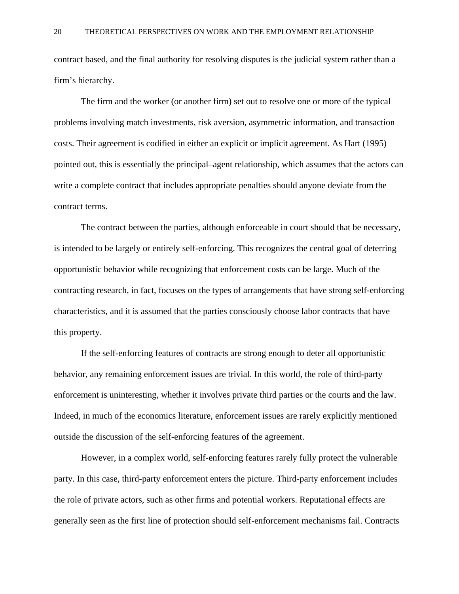contract based, and the final authority for resolving disputes is the judicial system rather than a firm's hierarchy.

The firm and the worker (or another firm) set out to resolve one or more of the typical problems involving match investments, risk aversion, asymmetric information, and transaction costs. Their agreement is codified in either an explicit or implicit agreement. As Hart (1995) pointed out, this is essentially the principal–agent relationship, which assumes that the actors can write a complete contract that includes appropriate penalties should anyone deviate from the contract terms.

The contract between the parties, although enforceable in court should that be necessary, is intended to be largely or entirely self-enforcing. This recognizes the central goal of deterring opportunistic behavior while recognizing that enforcement costs can be large. Much of the contracting research, in fact, focuses on the types of arrangements that have strong self-enforcing characteristics, and it is assumed that the parties consciously choose labor contracts that have this property.

If the self-enforcing features of contracts are strong enough to deter all opportunistic behavior, any remaining enforcement issues are trivial. In this world, the role of third-party enforcement is uninteresting, whether it involves private third parties or the courts and the law. Indeed, in much of the economics literature, enforcement issues are rarely explicitly mentioned outside the discussion of the self-enforcing features of the agreement.

However, in a complex world, self-enforcing features rarely fully protect the vulnerable party. In this case, third-party enforcement enters the picture. Third-party enforcement includes the role of private actors, such as other firms and potential workers. Reputational effects are generally seen as the first line of protection should self-enforcement mechanisms fail. Contracts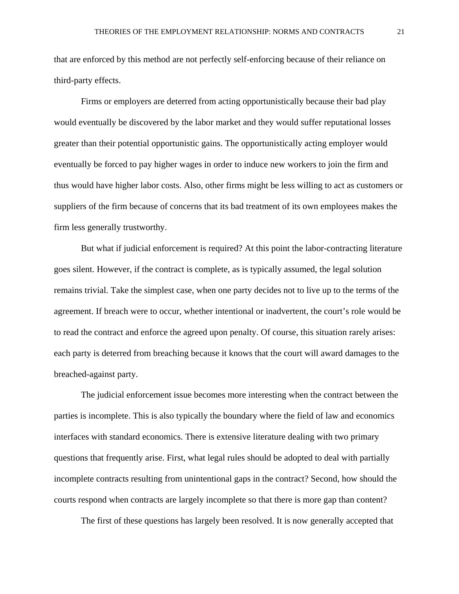that are enforced by this method are not perfectly self-enforcing because of their reliance on third-party effects.

Firms or employers are deterred from acting opportunistically because their bad play would eventually be discovered by the labor market and they would suffer reputational losses greater than their potential opportunistic gains. The opportunistically acting employer would eventually be forced to pay higher wages in order to induce new workers to join the firm and thus would have higher labor costs. Also, other firms might be less willing to act as customers or suppliers of the firm because of concerns that its bad treatment of its own employees makes the firm less generally trustworthy.

But what if judicial enforcement is required? At this point the labor-contracting literature goes silent. However, if the contract is complete, as is typically assumed, the legal solution remains trivial. Take the simplest case, when one party decides not to live up to the terms of the agreement. If breach were to occur, whether intentional or inadvertent, the court's role would be to read the contract and enforce the agreed upon penalty. Of course, this situation rarely arises: each party is deterred from breaching because it knows that the court will award damages to the breached-against party.

The judicial enforcement issue becomes more interesting when the contract between the parties is incomplete. This is also typically the boundary where the field of law and economics interfaces with standard economics. There is extensive literature dealing with two primary questions that frequently arise. First, what legal rules should be adopted to deal with partially incomplete contracts resulting from unintentional gaps in the contract? Second, how should the courts respond when contracts are largely incomplete so that there is more gap than content?

The first of these questions has largely been resolved. It is now generally accepted that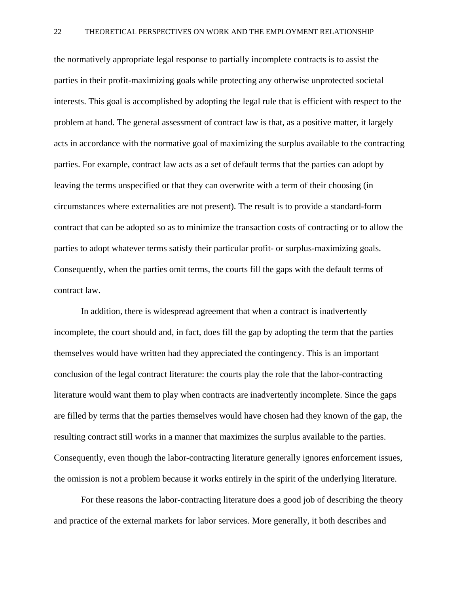the normatively appropriate legal response to partially incomplete contracts is to assist the parties in their profit-maximizing goals while protecting any otherwise unprotected societal interests. This goal is accomplished by adopting the legal rule that is efficient with respect to the problem at hand. The general assessment of contract law is that, as a positive matter, it largely acts in accordance with the normative goal of maximizing the surplus available to the contracting parties. For example, contract law acts as a set of default terms that the parties can adopt by leaving the terms unspecified or that they can overwrite with a term of their choosing (in circumstances where externalities are not present). The result is to provide a standard-form contract that can be adopted so as to minimize the transaction costs of contracting or to allow the parties to adopt whatever terms satisfy their particular profit- or surplus-maximizing goals. Consequently, when the parties omit terms, the courts fill the gaps with the default terms of contract law.

In addition, there is widespread agreement that when a contract is inadvertently incomplete, the court should and, in fact, does fill the gap by adopting the term that the parties themselves would have written had they appreciated the contingency. This is an important conclusion of the legal contract literature: the courts play the role that the labor-contracting literature would want them to play when contracts are inadvertently incomplete. Since the gaps are filled by terms that the parties themselves would have chosen had they known of the gap, the resulting contract still works in a manner that maximizes the surplus available to the parties. Consequently, even though the labor-contracting literature generally ignores enforcement issues, the omission is not a problem because it works entirely in the spirit of the underlying literature.

For these reasons the labor-contracting literature does a good job of describing the theory and practice of the external markets for labor services. More generally, it both describes and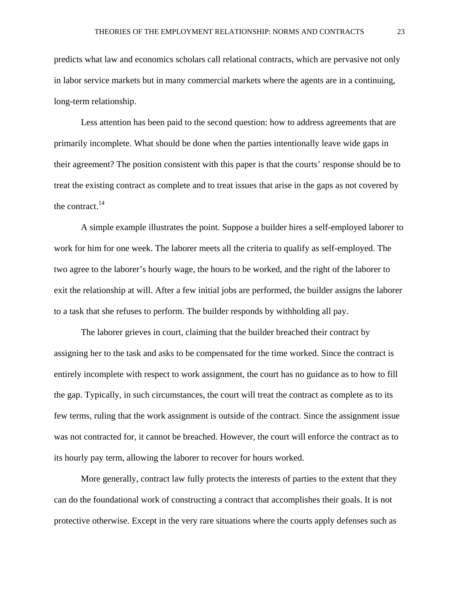predicts what law and economics scholars call relational contracts, which are pervasive not only in labor service markets but in many commercial markets where the agents are in a continuing, long-term relationship.

Less attention has been paid to the second question: how to address agreements that are primarily incomplete. What should be done when the parties intentionally leave wide gaps in their agreement? The position consistent with this paper is that the courts' response should be to treat the existing contract as complete and to treat issues that arise in the gaps as not covered by the contract.<sup>14</sup>

A simple example illustrates the point. Suppose a builder hires a self-employed laborer to work for him for one week. The laborer meets all the criteria to qualify as self-employed. The two agree to the laborer's hourly wage, the hours to be worked, and the right of the laborer to exit the relationship at will. After a few initial jobs are performed, the builder assigns the laborer to a task that she refuses to perform. The builder responds by withholding all pay.

The laborer grieves in court, claiming that the builder breached their contract by assigning her to the task and asks to be compensated for the time worked. Since the contract is entirely incomplete with respect to work assignment, the court has no guidance as to how to fill the gap. Typically, in such circumstances, the court will treat the contract as complete as to its few terms, ruling that the work assignment is outside of the contract. Since the assignment issue was not contracted for, it cannot be breached. However, the court will enforce the contract as to its hourly pay term, allowing the laborer to recover for hours worked.

More generally, contract law fully protects the interests of parties to the extent that they can do the foundational work of constructing a contract that accomplishes their goals. It is not protective otherwise. Except in the very rare situations where the courts apply defenses such as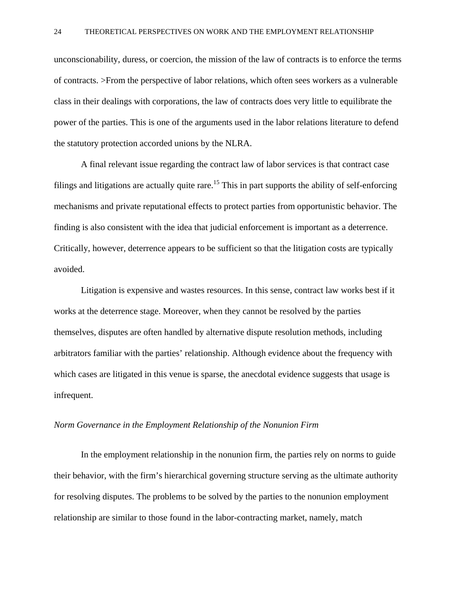unconscionability, duress, or coercion, the mission of the law of contracts is to enforce the terms of contracts. >From the perspective of labor relations, which often sees workers as a vulnerable class in their dealings with corporations, the law of contracts does very little to equilibrate the power of the parties. This is one of the arguments used in the labor relations literature to defend the statutory protection accorded unions by the NLRA.

A final relevant issue regarding the contract law of labor services is that contract case filings and litigations are actually quite rare.<sup>15</sup> This in part supports the ability of self-enforcing mechanisms and private reputational effects to protect parties from opportunistic behavior. The finding is also consistent with the idea that judicial enforcement is important as a deterrence. Critically, however, deterrence appears to be sufficient so that the litigation costs are typically avoided.

Litigation is expensive and wastes resources. In this sense, contract law works best if it works at the deterrence stage. Moreover, when they cannot be resolved by the parties themselves, disputes are often handled by alternative dispute resolution methods, including arbitrators familiar with the parties' relationship. Although evidence about the frequency with which cases are litigated in this venue is sparse, the anecdotal evidence suggests that usage is infrequent.

#### *Norm Governance in the Employment Relationship of the Nonunion Firm*

In the employment relationship in the nonunion firm, the parties rely on norms to guide their behavior, with the firm's hierarchical governing structure serving as the ultimate authority for resolving disputes. The problems to be solved by the parties to the nonunion employment relationship are similar to those found in the labor-contracting market, namely, match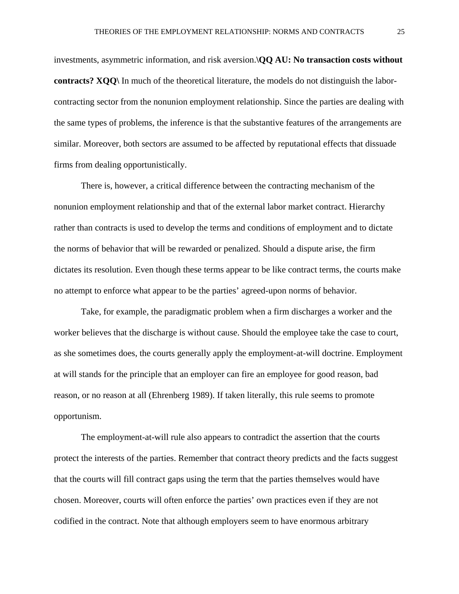investments, asymmetric information, and risk aversion.**\QQ AU: No transaction costs without contracts? XQQ\** In much of the theoretical literature, the models do not distinguish the laborcontracting sector from the nonunion employment relationship. Since the parties are dealing with the same types of problems, the inference is that the substantive features of the arrangements are similar. Moreover, both sectors are assumed to be affected by reputational effects that dissuade firms from dealing opportunistically.

There is, however, a critical difference between the contracting mechanism of the nonunion employment relationship and that of the external labor market contract. Hierarchy rather than contracts is used to develop the terms and conditions of employment and to dictate the norms of behavior that will be rewarded or penalized. Should a dispute arise, the firm dictates its resolution. Even though these terms appear to be like contract terms, the courts make no attempt to enforce what appear to be the parties' agreed-upon norms of behavior.

Take, for example, the paradigmatic problem when a firm discharges a worker and the worker believes that the discharge is without cause. Should the employee take the case to court, as she sometimes does, the courts generally apply the employment-at-will doctrine. Employment at will stands for the principle that an employer can fire an employee for good reason, bad reason, or no reason at all (Ehrenberg 1989). If taken literally, this rule seems to promote opportunism.

The employment-at-will rule also appears to contradict the assertion that the courts protect the interests of the parties. Remember that contract theory predicts and the facts suggest that the courts will fill contract gaps using the term that the parties themselves would have chosen. Moreover, courts will often enforce the parties' own practices even if they are not codified in the contract. Note that although employers seem to have enormous arbitrary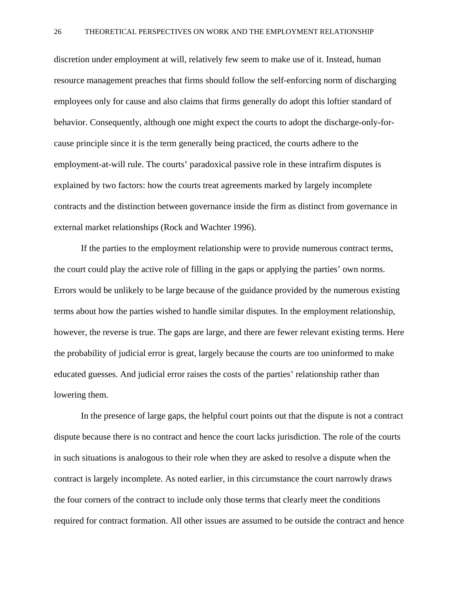discretion under employment at will, relatively few seem to make use of it. Instead, human resource management preaches that firms should follow the self-enforcing norm of discharging employees only for cause and also claims that firms generally do adopt this loftier standard of behavior. Consequently, although one might expect the courts to adopt the discharge-only-forcause principle since it is the term generally being practiced, the courts adhere to the employment-at-will rule. The courts' paradoxical passive role in these intrafirm disputes is explained by two factors: how the courts treat agreements marked by largely incomplete contracts and the distinction between governance inside the firm as distinct from governance in external market relationships (Rock and Wachter 1996).

If the parties to the employment relationship were to provide numerous contract terms, the court could play the active role of filling in the gaps or applying the parties' own norms. Errors would be unlikely to be large because of the guidance provided by the numerous existing terms about how the parties wished to handle similar disputes. In the employment relationship, however, the reverse is true. The gaps are large, and there are fewer relevant existing terms. Here the probability of judicial error is great, largely because the courts are too uninformed to make educated guesses. And judicial error raises the costs of the parties' relationship rather than lowering them.

In the presence of large gaps, the helpful court points out that the dispute is not a contract dispute because there is no contract and hence the court lacks jurisdiction. The role of the courts in such situations is analogous to their role when they are asked to resolve a dispute when the contract is largely incomplete. As noted earlier, in this circumstance the court narrowly draws the four corners of the contract to include only those terms that clearly meet the conditions required for contract formation. All other issues are assumed to be outside the contract and hence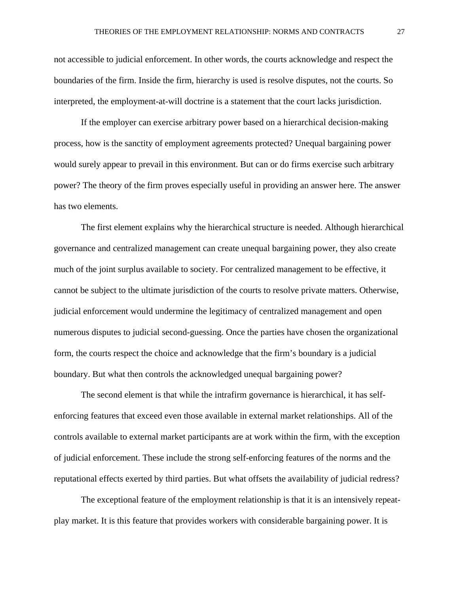not accessible to judicial enforcement. In other words, the courts acknowledge and respect the boundaries of the firm. Inside the firm, hierarchy is used is resolve disputes, not the courts. So interpreted, the employment-at-will doctrine is a statement that the court lacks jurisdiction.

If the employer can exercise arbitrary power based on a hierarchical decision-making process, how is the sanctity of employment agreements protected? Unequal bargaining power would surely appear to prevail in this environment. But can or do firms exercise such arbitrary power? The theory of the firm proves especially useful in providing an answer here. The answer has two elements.

The first element explains why the hierarchical structure is needed. Although hierarchical governance and centralized management can create unequal bargaining power, they also create much of the joint surplus available to society. For centralized management to be effective, it cannot be subject to the ultimate jurisdiction of the courts to resolve private matters. Otherwise, judicial enforcement would undermine the legitimacy of centralized management and open numerous disputes to judicial second-guessing. Once the parties have chosen the organizational form, the courts respect the choice and acknowledge that the firm's boundary is a judicial boundary. But what then controls the acknowledged unequal bargaining power?

The second element is that while the intrafirm governance is hierarchical, it has selfenforcing features that exceed even those available in external market relationships. All of the controls available to external market participants are at work within the firm, with the exception of judicial enforcement. These include the strong self-enforcing features of the norms and the reputational effects exerted by third parties. But what offsets the availability of judicial redress?

The exceptional feature of the employment relationship is that it is an intensively repeatplay market. It is this feature that provides workers with considerable bargaining power. It is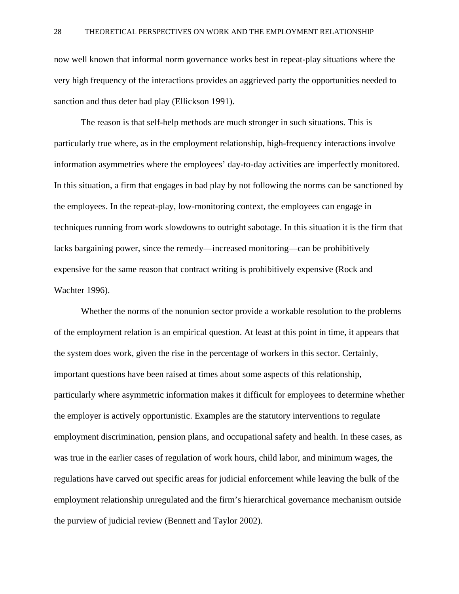now well known that informal norm governance works best in repeat-play situations where the very high frequency of the interactions provides an aggrieved party the opportunities needed to sanction and thus deter bad play (Ellickson 1991).

The reason is that self-help methods are much stronger in such situations. This is particularly true where, as in the employment relationship, high-frequency interactions involve information asymmetries where the employees' day-to-day activities are imperfectly monitored. In this situation, a firm that engages in bad play by not following the norms can be sanctioned by the employees. In the repeat-play, low-monitoring context, the employees can engage in techniques running from work slowdowns to outright sabotage. In this situation it is the firm that lacks bargaining power, since the remedy—increased monitoring—can be prohibitively expensive for the same reason that contract writing is prohibitively expensive (Rock and Wachter 1996).

Whether the norms of the nonunion sector provide a workable resolution to the problems of the employment relation is an empirical question. At least at this point in time, it appears that the system does work, given the rise in the percentage of workers in this sector. Certainly, important questions have been raised at times about some aspects of this relationship, particularly where asymmetric information makes it difficult for employees to determine whether the employer is actively opportunistic. Examples are the statutory interventions to regulate employment discrimination, pension plans, and occupational safety and health. In these cases, as was true in the earlier cases of regulation of work hours, child labor, and minimum wages, the regulations have carved out specific areas for judicial enforcement while leaving the bulk of the employment relationship unregulated and the firm's hierarchical governance mechanism outside the purview of judicial review (Bennett and Taylor 2002).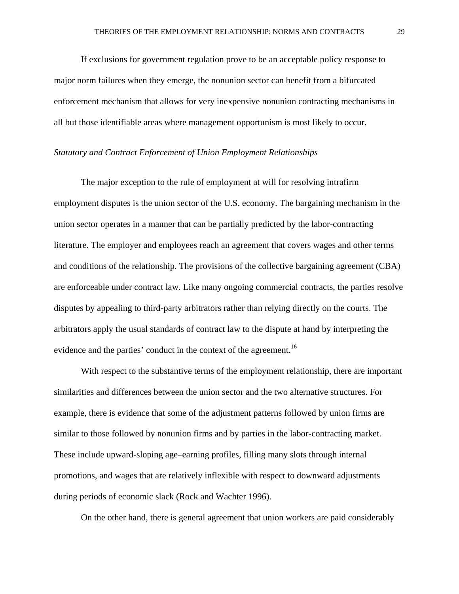If exclusions for government regulation prove to be an acceptable policy response to major norm failures when they emerge, the nonunion sector can benefit from a bifurcated enforcement mechanism that allows for very inexpensive nonunion contracting mechanisms in all but those identifiable areas where management opportunism is most likely to occur.

#### *Statutory and Contract Enforcement of Union Employment Relationships*

The major exception to the rule of employment at will for resolving intrafirm employment disputes is the union sector of the U.S. economy. The bargaining mechanism in the union sector operates in a manner that can be partially predicted by the labor-contracting literature. The employer and employees reach an agreement that covers wages and other terms and conditions of the relationship. The provisions of the collective bargaining agreement (CBA) are enforceable under contract law. Like many ongoing commercial contracts, the parties resolve disputes by appealing to third-party arbitrators rather than relying directly on the courts. The arbitrators apply the usual standards of contract law to the dispute at hand by interpreting the evidence and the parties' conduct in the context of the agreement.<sup>16</sup>

With respect to the substantive terms of the employment relationship, there are important similarities and differences between the union sector and the two alternative structures. For example, there is evidence that some of the adjustment patterns followed by union firms are similar to those followed by nonunion firms and by parties in the labor-contracting market. These include upward-sloping age–earning profiles, filling many slots through internal promotions, and wages that are relatively inflexible with respect to downward adjustments during periods of economic slack (Rock and Wachter 1996).

On the other hand, there is general agreement that union workers are paid considerably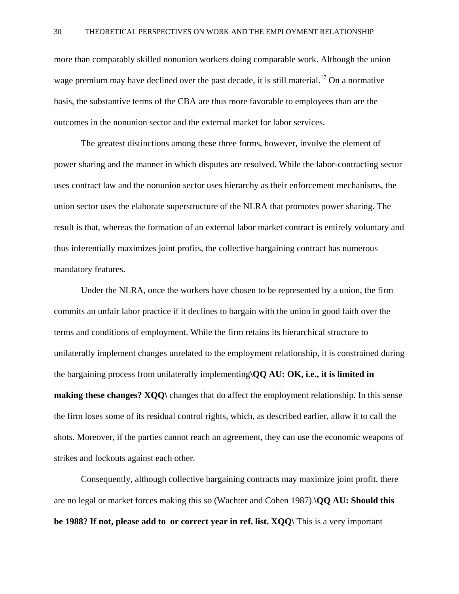more than comparably skilled nonunion workers doing comparable work. Although the union wage premium may have declined over the past decade, it is still material.<sup>17</sup> On a normative basis, the substantive terms of the CBA are thus more favorable to employees than are the outcomes in the nonunion sector and the external market for labor services.

The greatest distinctions among these three forms, however, involve the element of power sharing and the manner in which disputes are resolved. While the labor-contracting sector uses contract law and the nonunion sector uses hierarchy as their enforcement mechanisms, the union sector uses the elaborate superstructure of the NLRA that promotes power sharing. The result is that, whereas the formation of an external labor market contract is entirely voluntary and thus inferentially maximizes joint profits, the collective bargaining contract has numerous mandatory features.

Under the NLRA, once the workers have chosen to be represented by a union, the firm commits an unfair labor practice if it declines to bargain with the union in good faith over the terms and conditions of employment. While the firm retains its hierarchical structure to unilaterally implement changes unrelated to the employment relationship, it is constrained during the bargaining process from unilaterally implementing**\QQ AU: OK, i.e., it is limited in making these changes? XOO** changes that do affect the employment relationship. In this sense the firm loses some of its residual control rights, which, as described earlier, allow it to call the shots. Moreover, if the parties cannot reach an agreement, they can use the economic weapons of strikes and lockouts against each other.

Consequently, although collective bargaining contracts may maximize joint profit, there are no legal or market forces making this so (Wachter and Cohen 1987).**\QQ AU: Should this be 1988? If not, please add to or correct year in ref. list. XQQ\** This is a very important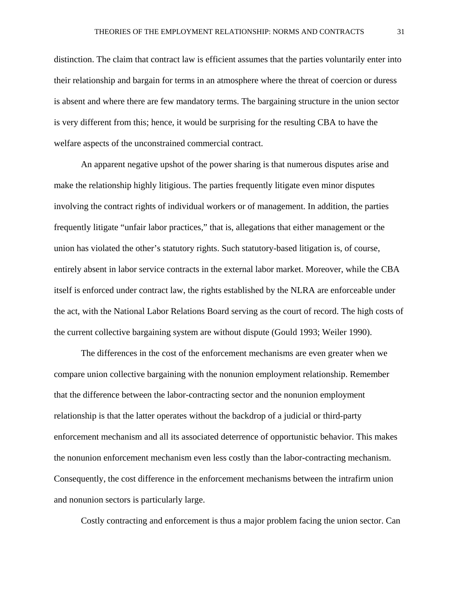distinction. The claim that contract law is efficient assumes that the parties voluntarily enter into their relationship and bargain for terms in an atmosphere where the threat of coercion or duress is absent and where there are few mandatory terms. The bargaining structure in the union sector is very different from this; hence, it would be surprising for the resulting CBA to have the welfare aspects of the unconstrained commercial contract.

An apparent negative upshot of the power sharing is that numerous disputes arise and make the relationship highly litigious. The parties frequently litigate even minor disputes involving the contract rights of individual workers or of management. In addition, the parties frequently litigate "unfair labor practices," that is, allegations that either management or the union has violated the other's statutory rights. Such statutory-based litigation is, of course, entirely absent in labor service contracts in the external labor market. Moreover, while the CBA itself is enforced under contract law, the rights established by the NLRA are enforceable under the act, with the National Labor Relations Board serving as the court of record. The high costs of the current collective bargaining system are without dispute (Gould 1993; Weiler 1990).

The differences in the cost of the enforcement mechanisms are even greater when we compare union collective bargaining with the nonunion employment relationship. Remember that the difference between the labor-contracting sector and the nonunion employment relationship is that the latter operates without the backdrop of a judicial or third-party enforcement mechanism and all its associated deterrence of opportunistic behavior. This makes the nonunion enforcement mechanism even less costly than the labor-contracting mechanism. Consequently, the cost difference in the enforcement mechanisms between the intrafirm union and nonunion sectors is particularly large.

Costly contracting and enforcement is thus a major problem facing the union sector. Can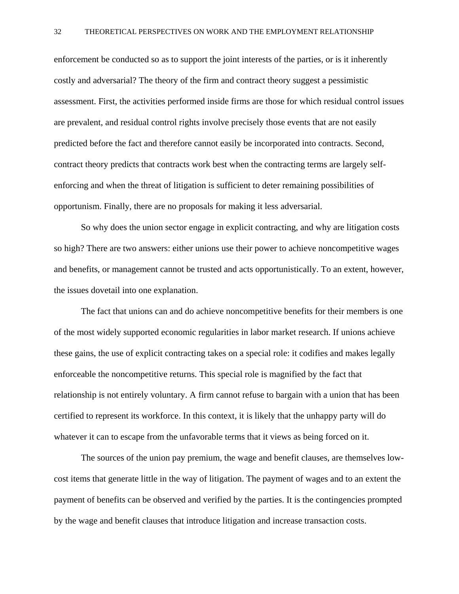enforcement be conducted so as to support the joint interests of the parties, or is it inherently costly and adversarial? The theory of the firm and contract theory suggest a pessimistic assessment. First, the activities performed inside firms are those for which residual control issues are prevalent, and residual control rights involve precisely those events that are not easily predicted before the fact and therefore cannot easily be incorporated into contracts. Second, contract theory predicts that contracts work best when the contracting terms are largely selfenforcing and when the threat of litigation is sufficient to deter remaining possibilities of opportunism. Finally, there are no proposals for making it less adversarial.

So why does the union sector engage in explicit contracting, and why are litigation costs so high? There are two answers: either unions use their power to achieve noncompetitive wages and benefits, or management cannot be trusted and acts opportunistically. To an extent, however, the issues dovetail into one explanation.

The fact that unions can and do achieve noncompetitive benefits for their members is one of the most widely supported economic regularities in labor market research. If unions achieve these gains, the use of explicit contracting takes on a special role: it codifies and makes legally enforceable the noncompetitive returns. This special role is magnified by the fact that relationship is not entirely voluntary. A firm cannot refuse to bargain with a union that has been certified to represent its workforce. In this context, it is likely that the unhappy party will do whatever it can to escape from the unfavorable terms that it views as being forced on it.

The sources of the union pay premium, the wage and benefit clauses, are themselves lowcost items that generate little in the way of litigation. The payment of wages and to an extent the payment of benefits can be observed and verified by the parties. It is the contingencies prompted by the wage and benefit clauses that introduce litigation and increase transaction costs.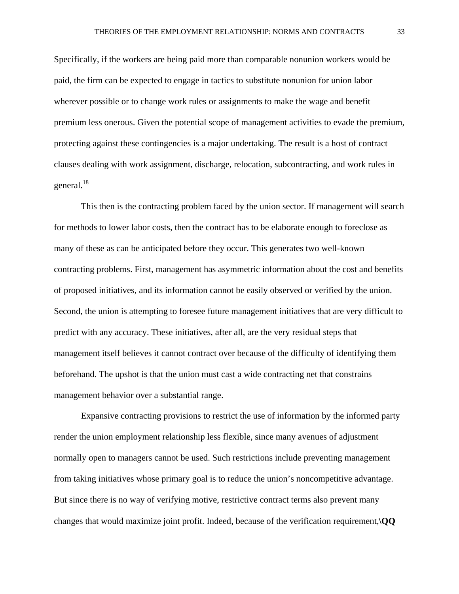Specifically, if the workers are being paid more than comparable nonunion workers would be paid, the firm can be expected to engage in tactics to substitute nonunion for union labor wherever possible or to change work rules or assignments to make the wage and benefit premium less onerous. Given the potential scope of management activities to evade the premium, protecting against these contingencies is a major undertaking. The result is a host of contract clauses dealing with work assignment, discharge, relocation, subcontracting, and work rules in general.<sup>18</sup>

This then is the contracting problem faced by the union sector. If management will search for methods to lower labor costs, then the contract has to be elaborate enough to foreclose as many of these as can be anticipated before they occur. This generates two well-known contracting problems. First, management has asymmetric information about the cost and benefits of proposed initiatives, and its information cannot be easily observed or verified by the union. Second, the union is attempting to foresee future management initiatives that are very difficult to predict with any accuracy. These initiatives, after all, are the very residual steps that management itself believes it cannot contract over because of the difficulty of identifying them beforehand. The upshot is that the union must cast a wide contracting net that constrains management behavior over a substantial range.

Expansive contracting provisions to restrict the use of information by the informed party render the union employment relationship less flexible, since many avenues of adjustment normally open to managers cannot be used. Such restrictions include preventing management from taking initiatives whose primary goal is to reduce the union's noncompetitive advantage. But since there is no way of verifying motive, restrictive contract terms also prevent many changes that would maximize joint profit. Indeed, because of the verification requirement,**\QQ**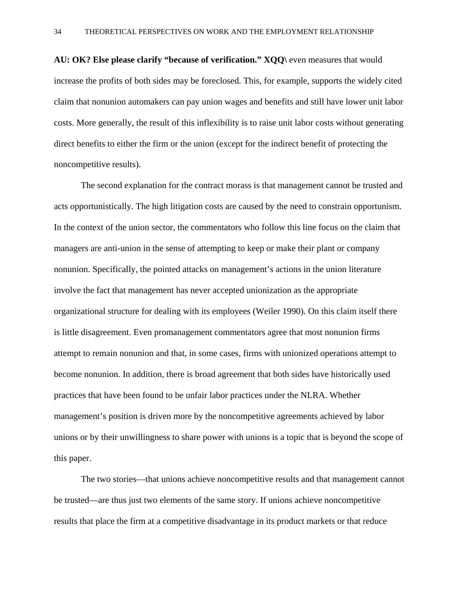**AU: OK? Else please clarify "because of verification." XQQ\ even measures that would** increase the profits of both sides may be foreclosed. This, for example, supports the widely cited claim that nonunion automakers can pay union wages and benefits and still have lower unit labor costs. More generally, the result of this inflexibility is to raise unit labor costs without generating direct benefits to either the firm or the union (except for the indirect benefit of protecting the noncompetitive results).

The second explanation for the contract morass is that management cannot be trusted and acts opportunistically. The high litigation costs are caused by the need to constrain opportunism. In the context of the union sector, the commentators who follow this line focus on the claim that managers are anti-union in the sense of attempting to keep or make their plant or company nonunion. Specifically, the pointed attacks on management's actions in the union literature involve the fact that management has never accepted unionization as the appropriate organizational structure for dealing with its employees (Weiler 1990). On this claim itself there is little disagreement. Even promanagement commentators agree that most nonunion firms attempt to remain nonunion and that, in some cases, firms with unionized operations attempt to become nonunion. In addition, there is broad agreement that both sides have historically used practices that have been found to be unfair labor practices under the NLRA. Whether management's position is driven more by the noncompetitive agreements achieved by labor unions or by their unwillingness to share power with unions is a topic that is beyond the scope of this paper.

The two stories—that unions achieve noncompetitive results and that management cannot be trusted—are thus just two elements of the same story. If unions achieve noncompetitive results that place the firm at a competitive disadvantage in its product markets or that reduce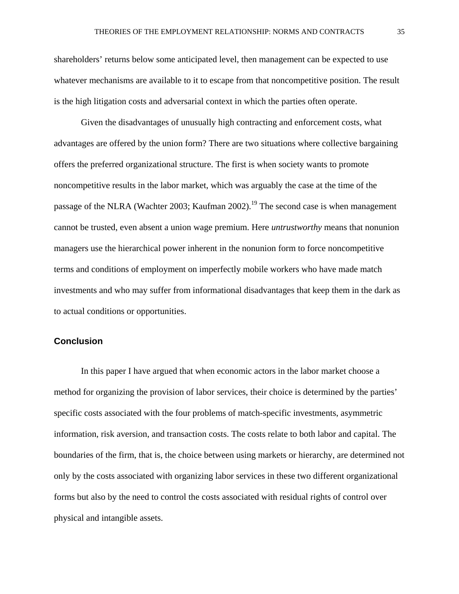shareholders' returns below some anticipated level, then management can be expected to use whatever mechanisms are available to it to escape from that noncompetitive position. The result is the high litigation costs and adversarial context in which the parties often operate.

Given the disadvantages of unusually high contracting and enforcement costs, what advantages are offered by the union form? There are two situations where collective bargaining offers the preferred organizational structure. The first is when society wants to promote noncompetitive results in the labor market, which was arguably the case at the time of the passage of the NLRA (Wachter 2003; Kaufman 2002).<sup>19</sup> The second case is when management cannot be trusted, even absent a union wage premium. Here *untrustworthy* means that nonunion managers use the hierarchical power inherent in the nonunion form to force noncompetitive terms and conditions of employment on imperfectly mobile workers who have made match investments and who may suffer from informational disadvantages that keep them in the dark as to actual conditions or opportunities.

## **Conclusion**

In this paper I have argued that when economic actors in the labor market choose a method for organizing the provision of labor services, their choice is determined by the parties' specific costs associated with the four problems of match-specific investments, asymmetric information, risk aversion, and transaction costs. The costs relate to both labor and capital. The boundaries of the firm, that is, the choice between using markets or hierarchy, are determined not only by the costs associated with organizing labor services in these two different organizational forms but also by the need to control the costs associated with residual rights of control over physical and intangible assets.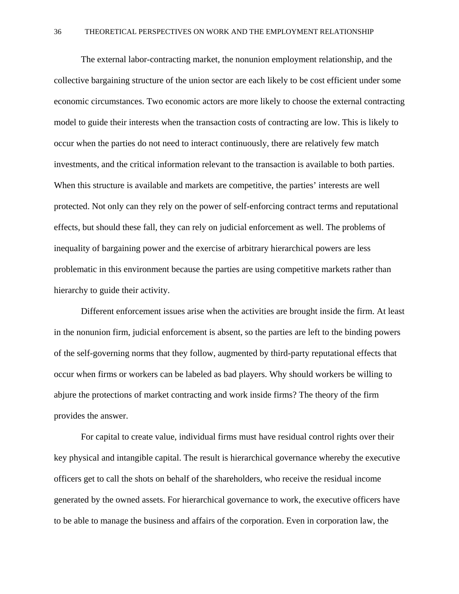The external labor-contracting market, the nonunion employment relationship, and the collective bargaining structure of the union sector are each likely to be cost efficient under some economic circumstances. Two economic actors are more likely to choose the external contracting model to guide their interests when the transaction costs of contracting are low. This is likely to occur when the parties do not need to interact continuously, there are relatively few match investments, and the critical information relevant to the transaction is available to both parties. When this structure is available and markets are competitive, the parties' interests are well protected. Not only can they rely on the power of self-enforcing contract terms and reputational effects, but should these fall, they can rely on judicial enforcement as well. The problems of inequality of bargaining power and the exercise of arbitrary hierarchical powers are less problematic in this environment because the parties are using competitive markets rather than hierarchy to guide their activity.

Different enforcement issues arise when the activities are brought inside the firm. At least in the nonunion firm, judicial enforcement is absent, so the parties are left to the binding powers of the self-governing norms that they follow, augmented by third-party reputational effects that occur when firms or workers can be labeled as bad players. Why should workers be willing to abjure the protections of market contracting and work inside firms? The theory of the firm provides the answer.

For capital to create value, individual firms must have residual control rights over their key physical and intangible capital. The result is hierarchical governance whereby the executive officers get to call the shots on behalf of the shareholders, who receive the residual income generated by the owned assets. For hierarchical governance to work, the executive officers have to be able to manage the business and affairs of the corporation. Even in corporation law, the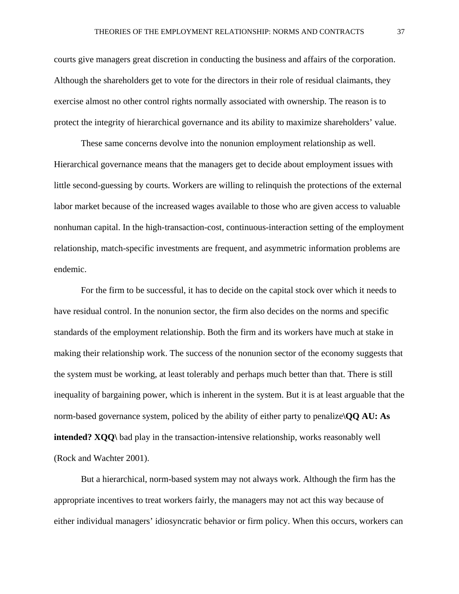courts give managers great discretion in conducting the business and affairs of the corporation. Although the shareholders get to vote for the directors in their role of residual claimants, they exercise almost no other control rights normally associated with ownership. The reason is to protect the integrity of hierarchical governance and its ability to maximize shareholders' value.

These same concerns devolve into the nonunion employment relationship as well. Hierarchical governance means that the managers get to decide about employment issues with little second-guessing by courts. Workers are willing to relinquish the protections of the external labor market because of the increased wages available to those who are given access to valuable nonhuman capital. In the high-transaction-cost, continuous-interaction setting of the employment relationship, match-specific investments are frequent, and asymmetric information problems are endemic.

For the firm to be successful, it has to decide on the capital stock over which it needs to have residual control. In the nonunion sector, the firm also decides on the norms and specific standards of the employment relationship. Both the firm and its workers have much at stake in making their relationship work. The success of the nonunion sector of the economy suggests that the system must be working, at least tolerably and perhaps much better than that. There is still inequality of bargaining power, which is inherent in the system. But it is at least arguable that the norm-based governance system, policed by the ability of either party to penalize**\QQ AU: As intended? XQQ\** bad play in the transaction-intensive relationship, works reasonably well (Rock and Wachter 2001).

But a hierarchical, norm-based system may not always work. Although the firm has the appropriate incentives to treat workers fairly, the managers may not act this way because of either individual managers' idiosyncratic behavior or firm policy. When this occurs, workers can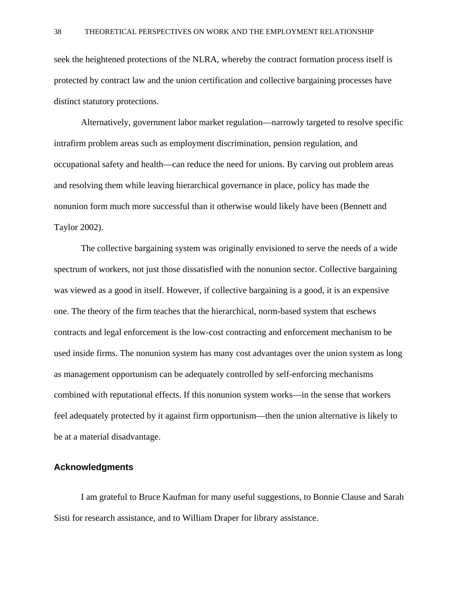seek the heightened protections of the NLRA, whereby the contract formation process itself is protected by contract law and the union certification and collective bargaining processes have distinct statutory protections.

Alternatively, government labor market regulation—narrowly targeted to resolve specific intrafirm problem areas such as employment discrimination, pension regulation, and occupational safety and health—can reduce the need for unions. By carving out problem areas and resolving them while leaving hierarchical governance in place, policy has made the nonunion form much more successful than it otherwise would likely have been (Bennett and Taylor 2002).

The collective bargaining system was originally envisioned to serve the needs of a wide spectrum of workers, not just those dissatisfied with the nonunion sector. Collective bargaining was viewed as a good in itself. However, if collective bargaining is a good, it is an expensive one. The theory of the firm teaches that the hierarchical, norm-based system that eschews contracts and legal enforcement is the low-cost contracting and enforcement mechanism to be used inside firms. The nonunion system has many cost advantages over the union system as long as management opportunism can be adequately controlled by self-enforcing mechanisms combined with reputational effects. If this nonunion system works—in the sense that workers feel adequately protected by it against firm opportunism—then the union alternative is likely to be at a material disadvantage.

# **Acknowledgments**

I am grateful to Bruce Kaufman for many useful suggestions, to Bonnie Clause and Sarah Sisti for research assistance, and to William Draper for library assistance.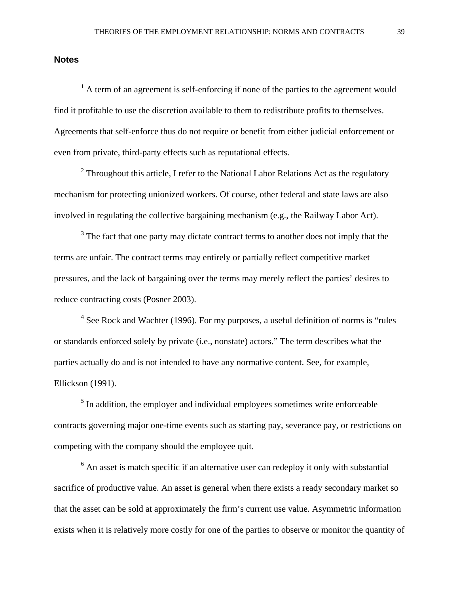# **Notes**

 $<sup>1</sup>$  A term of an agreement is self-enforcing if none of the parties to the agreement would</sup> find it profitable to use the discretion available to them to redistribute profits to themselves. Agreements that self-enforce thus do not require or benefit from either judicial enforcement or even from private, third-party effects such as reputational effects.

<sup>2</sup> Throughout this article, I refer to the National Labor Relations Act as the regulatory mechanism for protecting unionized workers. Of course, other federal and state laws are also involved in regulating the collective bargaining mechanism (e.g., the Railway Labor Act).

 $3$  The fact that one party may dictate contract terms to another does not imply that the terms are unfair. The contract terms may entirely or partially reflect competitive market pressures, and the lack of bargaining over the terms may merely reflect the parties' desires to reduce contracting costs (Posner 2003).

 $4$  See Rock and Wachter (1996). For my purposes, a useful definition of norms is "rules or standards enforced solely by private (i.e., nonstate) actors." The term describes what the parties actually do and is not intended to have any normative content. See, for example, Ellickson (1991).

 $<sup>5</sup>$  In addition, the employer and individual employees sometimes write enforceable</sup> contracts governing major one-time events such as starting pay, severance pay, or restrictions on competing with the company should the employee quit.

<sup>6</sup> An asset is match specific if an alternative user can redeploy it only with substantial sacrifice of productive value. An asset is general when there exists a ready secondary market so that the asset can be sold at approximately the firm's current use value. Asymmetric information exists when it is relatively more costly for one of the parties to observe or monitor the quantity of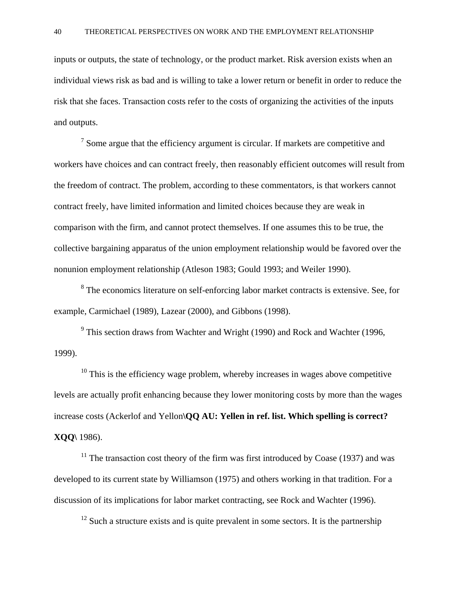inputs or outputs, the state of technology, or the product market. Risk aversion exists when an individual views risk as bad and is willing to take a lower return or benefit in order to reduce the risk that she faces. Transaction costs refer to the costs of organizing the activities of the inputs and outputs.

 $7$  Some argue that the efficiency argument is circular. If markets are competitive and workers have choices and can contract freely, then reasonably efficient outcomes will result from the freedom of contract. The problem, according to these commentators, is that workers cannot contract freely, have limited information and limited choices because they are weak in comparison with the firm, and cannot protect themselves. If one assumes this to be true, the collective bargaining apparatus of the union employment relationship would be favored over the nonunion employment relationship (Atleson 1983; Gould 1993; and Weiler 1990).

<sup>8</sup> The economics literature on self-enforcing labor market contracts is extensive. See, for example, Carmichael (1989), Lazear (2000), and Gibbons (1998).

 $9$  This section draws from Wachter and Wright (1990) and Rock and Wachter (1996, 1999).

 $10$  This is the efficiency wage problem, whereby increases in wages above competitive levels are actually profit enhancing because they lower monitoring costs by more than the wages increase costs (Ackerlof and Yellon**\QQ AU: Yellen in ref. list. Which spelling is correct? XQQ\** 1986).

 $11$ <sup>11</sup> The transaction cost theory of the firm was first introduced by Coase (1937) and was developed to its current state by Williamson (1975) and others working in that tradition. For a discussion of its implications for labor market contracting, see Rock and Wachter (1996).

 $12$  Such a structure exists and is quite prevalent in some sectors. It is the partnership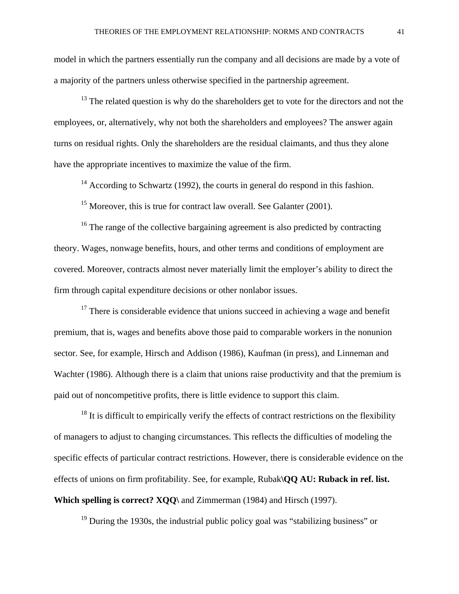model in which the partners essentially run the company and all decisions are made by a vote of a majority of the partners unless otherwise specified in the partnership agreement.

<sup>13</sup> The related question is why do the shareholders get to vote for the directors and not the employees, or, alternatively, why not both the shareholders and employees? The answer again turns on residual rights. Only the shareholders are the residual claimants, and thus they alone have the appropriate incentives to maximize the value of the firm.

 $14$  According to Schwartz (1992), the courts in general do respond in this fashion.

<sup>15</sup> Moreover, this is true for contract law overall. See Galanter (2001).

<sup>16</sup> The range of the collective bargaining agreement is also predicted by contracting theory. Wages, nonwage benefits, hours, and other terms and conditions of employment are covered. Moreover, contracts almost never materially limit the employer's ability to direct the firm through capital expenditure decisions or other nonlabor issues.

 $17$  There is considerable evidence that unions succeed in achieving a wage and benefit premium, that is, wages and benefits above those paid to comparable workers in the nonunion sector. See, for example, Hirsch and Addison (1986), Kaufman (in press), and Linneman and Wachter (1986). Although there is a claim that unions raise productivity and that the premium is paid out of noncompetitive profits, there is little evidence to support this claim.

 $18$  It is difficult to empirically verify the effects of contract restrictions on the flexibility of managers to adjust to changing circumstances. This reflects the difficulties of modeling the specific effects of particular contract restrictions. However, there is considerable evidence on the effects of unions on firm profitability. See, for example, Rubak**\QQ AU: Ruback in ref. list. Which spelling is correct? XQQ\** and Zimmerman (1984) and Hirsch (1997).

 $19$  During the 1930s, the industrial public policy goal was "stabilizing business" or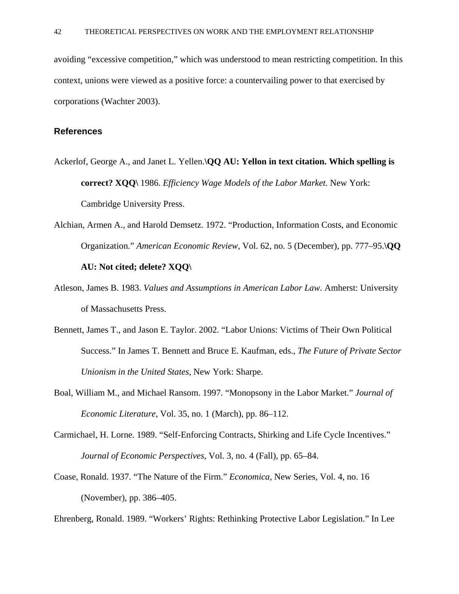avoiding "excessive competition," which was understood to mean restricting competition. In this context, unions were viewed as a positive force: a countervailing power to that exercised by corporations (Wachter 2003).

#### **References**

- Ackerlof, George A., and Janet L. Yellen.**\QQ AU: Yellon in text citation. Which spelling is correct? XQQ\** 1986. *Efficiency Wage Models of the Labor Market.* New York: Cambridge University Press.
- Alchian, Armen A., and Harold Demsetz. 1972. "Production, Information Costs, and Economic Organization." *American Economic Review,* Vol. 62, no. 5 (December), pp. 777–95.**\QQ AU: Not cited; delete? XQQ\**
- Atleson, James B. 1983. *Values and Assumptions in American Labor Law.* Amherst: University of Massachusetts Press.
- Bennett, James T., and Jason E. Taylor. 2002. "Labor Unions: Victims of Their Own Political Success." In James T. Bennett and Bruce E. Kaufman, eds., *The Future of Private Sector Unionism in the United States,* New York: Sharpe.
- Boal, William M., and Michael Ransom. 1997. "Monopsony in the Labor Market." *Journal of Economic Literature,* Vol. 35, no. 1 (March), pp. 86–112.
- Carmichael, H. Lorne. 1989. "Self-Enforcing Contracts, Shirking and Life Cycle Incentives." *Journal of Economic Perspectives,* Vol. 3, no. 4 (Fall), pp. 65–84.
- Coase, Ronald. 1937. "The Nature of the Firm." *Economica,* New Series, Vol. 4, no. 16 (November), pp. 386–405.

Ehrenberg, Ronald. 1989. "Workers' Rights: Rethinking Protective Labor Legislation." In Lee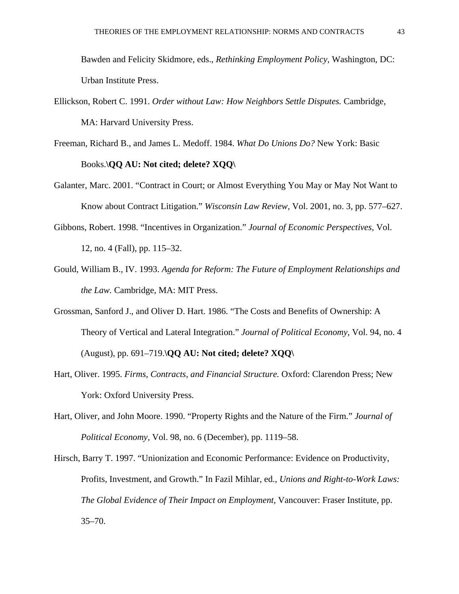Bawden and Felicity Skidmore, eds., *Rethinking Employment Policy,* Washington, DC: Urban Institute Press.

- Ellickson, Robert C. 1991. *Order without Law: How Neighbors Settle Disputes.* Cambridge, MA: Harvard University Press.
- Freeman, Richard B., and James L. Medoff. 1984. *What Do Unions Do?* New York: Basic Books.**\QQ AU: Not cited; delete? XQQ\**
- Galanter, Marc. 2001. "Contract in Court; or Almost Everything You May or May Not Want to Know about Contract Litigation." *Wisconsin Law Review,* Vol. 2001, no. 3, pp. 577–627.
- Gibbons, Robert. 1998. "Incentives in Organization." *Journal of Economic Perspectives,* Vol. 12, no. 4 (Fall), pp. 115–32.
- Gould, William B., IV. 1993. *Agenda for Reform: The Future of Employment Relationships and the Law.* Cambridge, MA: MIT Press.
- Grossman, Sanford J., and Oliver D. Hart. 1986. "The Costs and Benefits of Ownership: A Theory of Vertical and Lateral Integration." *Journal of Political Economy,* Vol. 94, no. 4 (August), pp. 691–719.**\QQ AU: Not cited; delete? XQQ\**
- Hart, Oliver. 1995. *Firms, Contracts, and Financial Structure.* Oxford: Clarendon Press; New York: Oxford University Press.
- Hart, Oliver, and John Moore. 1990. "Property Rights and the Nature of the Firm." *Journal of Political Economy,* Vol. 98, no. 6 (December), pp. 1119–58.

Hirsch, Barry T. 1997. "Unionization and Economic Performance: Evidence on Productivity, Profits, Investment, and Growth." In Fazil Mihlar, ed., *Unions and Right-to-Work Laws: The Global Evidence of Their Impact on Employment,* Vancouver: Fraser Institute, pp. 35–70.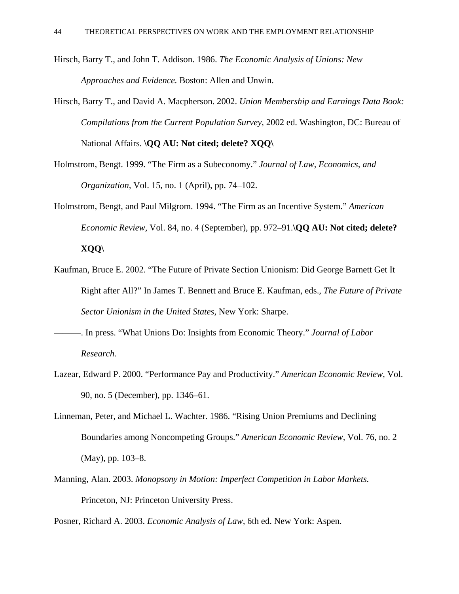Hirsch, Barry T., and John T. Addison. 1986. *The Economic Analysis of Unions: New Approaches and Evidence.* Boston: Allen and Unwin.

- Hirsch, Barry T., and David A. Macpherson. 2002. *Union Membership and Earnings Data Book: Compilations from the Current Population Survey,* 2002 ed. Washington, DC: Bureau of National Affairs. **\QQ AU: Not cited; delete? XQQ\**
- Holmstrom, Bengt. 1999. "The Firm as a Subeconomy." *Journal of Law, Economics, and Organization,* Vol. 15, no. 1 (April), pp. 74–102.
- Holmstrom, Bengt, and Paul Milgrom. 1994. "The Firm as an Incentive System." *American Economic Review,* Vol. 84, no. 4 (September), pp. 972–91.**\QQ AU: Not cited; delete? XQQ\**
- Kaufman, Bruce E. 2002. "The Future of Private Section Unionism: Did George Barnett Get It Right after All?" In James T. Bennett and Bruce E. Kaufman, eds., *The Future of Private Sector Unionism in the United States,* New York: Sharpe.
- ———. In press. "What Unions Do: Insights from Economic Theory." *Journal of Labor Research.*
- Lazear, Edward P. 2000. "Performance Pay and Productivity." *American Economic Review,* Vol. 90, no. 5 (December), pp. 1346–61.
- Linneman, Peter, and Michael L. Wachter. 1986. "Rising Union Premiums and Declining Boundaries among Noncompeting Groups." *American Economic Review,* Vol. 76, no. 2 (May), pp. 103–8.
- Manning, Alan. 2003. *Monopsony in Motion: Imperfect Competition in Labor Markets.* Princeton, NJ: Princeton University Press.

Posner, Richard A. 2003. *Economic Analysis of Law,* 6th ed. New York: Aspen.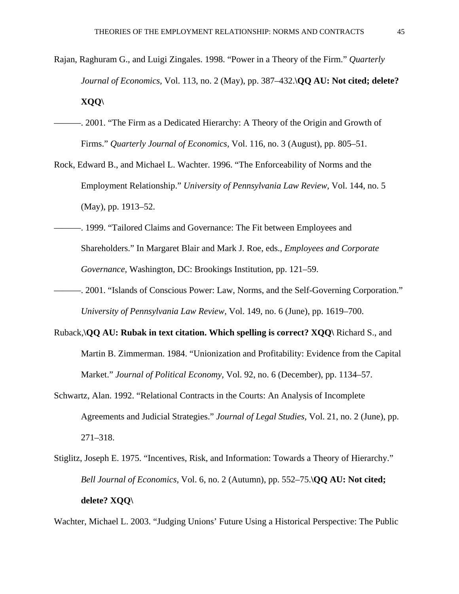- Rajan, Raghuram G., and Luigi Zingales. 1998. "Power in a Theory of the Firm." *Quarterly Journal of Economics,* Vol. 113, no. 2 (May), pp. 387–432.**\QQ AU: Not cited; delete? XQQ\**
- -. 2001. "The Firm as a Dedicated Hierarchy: A Theory of the Origin and Growth of Firms." *Quarterly Journal of Economics,* Vol. 116, no. 3 (August), pp. 805–51.
- Rock, Edward B., and Michael L. Wachter. 1996. "The Enforceability of Norms and the Employment Relationship." *University of Pennsylvania Law Review,* Vol. 144, no. 5 (May), pp. 1913–52.
- ———. 1999. "Tailored Claims and Governance: The Fit between Employees and Shareholders." In Margaret Blair and Mark J. Roe, eds., *Employees and Corporate Governance,* Washington, DC: Brookings Institution, pp. 121–59.
- ———. 2001. "Islands of Conscious Power: Law, Norms, and the Self-Governing Corporation." *University of Pennsylvania Law Review,* Vol. 149, no. 6 (June), pp. 1619–700.
- Ruback,**\QQ AU: Rubak in text citation. Which spelling is correct? XQQ\** Richard S., and Martin B. Zimmerman. 1984. "Unionization and Profitability: Evidence from the Capital Market." *Journal of Political Economy,* Vol. 92, no. 6 (December), pp. 1134–57.
- Schwartz, Alan. 1992. "Relational Contracts in the Courts: An Analysis of Incomplete Agreements and Judicial Strategies." *Journal of Legal Studies,* Vol. 21, no. 2 (June), pp. 271–318.
- Stiglitz, Joseph E. 1975. "Incentives, Risk, and Information: Towards a Theory of Hierarchy." *Bell Journal of Economics,* Vol. 6, no. 2 (Autumn), pp. 552–75.**\QQ AU: Not cited; delete? XQQ\**

Wachter, Michael L. 2003. "Judging Unions' Future Using a Historical Perspective: The Public